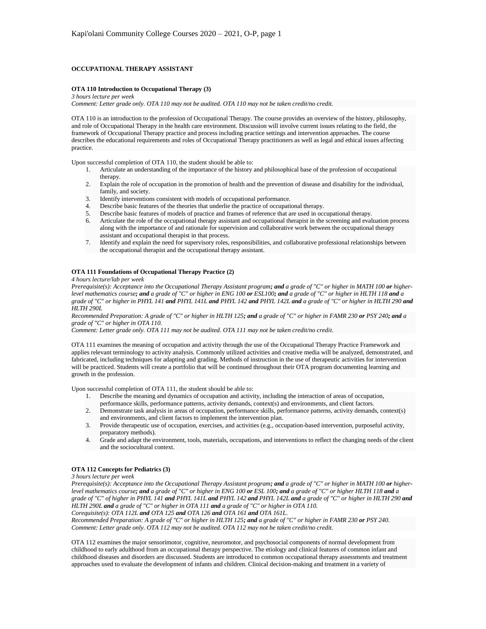## **OCCUPATIONAL THERAPY ASSISTANT**

#### **OTA 110 Introduction to Occupational Therapy (3)**

*3 hours lecture per week Comment: Letter grade only. OTA 110 may not be audited. OTA 110 may not be taken credit/no credit.*

OTA 110 is an introduction to the profession of Occupational Therapy. The course provides an overview of the history, philosophy, and role of Occupational Therapy in the health care environment. Discussion will involve current issues relating to the field, the framework of Occupational Therapy practice and process including practice settings and intervention approaches. The course describes the educational requirements and roles of Occupational Therapy practitioners as well as legal and ethical issues affecting practice.

Upon successful completion of OTA 110, the student should be able to:

- 1. Articulate an understanding of the importance of the history and philosophical base of the profession of occupational therapy.
- 2. Explain the role of occupation in the promotion of health and the prevention of disease and disability for the individual, family, and society.
- 
- 3. Identify interventions consistent with models of occupational performance.<br>4. Describe basic features of the theories that underlie the practice of occupation Describe basic features of the theories that underlie the practice of occupational therapy.
- 5. Describe basic features of models of practice and frames of reference that are used in occupational therapy.
- 6. Articulate the role of the occupational therapy assistant and occupational therapist in the screening and evaluation process along with the importance of and rationale for supervision and collaborative work between the occupational therapy assistant and occupational therapist in that process.
- 7. Identify and explain the need for supervisory roles, responsibilities, and collaborative professional relationships between the occupational therapist and the occupational therapy assistant.

#### **OTA 111 Foundations of Occupational Therapy Practice (2)**

#### *4 hours lecture/lab per week*

*Prerequisite(s): Acceptance into the Occupational Therapy Assistant program; and a grade of "C" or higher in MATH 100 or higherlevel mathematics course; and a grade of "C" or higher in ENG 100 or ESL100; and a grade of "C" or higher in HLTH 118 and a grade of "C" or higher in PHYL 141 and PHYL 141L and PHYL 142 and PHYL 142L and a grade of "C" or higher in HLTH 290 and HLTH 290L*

*Recommended Preparation: A grade of "C" or higher in HLTH 125; and a grade of "C" or higher in FAMR 230 or PSY 240; and a grade of "C" or higher in OTA 110.*

*Comment: Letter grade only. OTA 111 may not be audited. OTA 111 may not be taken credit/no credit.*

OTA 111 examines the meaning of occupation and activity through the use of the Occupational Therapy Practice Framework and applies relevant terminology to activity analysis. Commonly utilized activities and creative media will be analyzed, demonstrated, and fabricated, including techniques for adapting and grading. Methods of instruction in the use of therapeutic activities for intervention will be practiced. Students will create a portfolio that will be continued throughout their OTA program documenting learning and growth in the profession.

Upon successful completion of OTA 111, the student should be able to:

- 1. Describe the meaning and dynamics of occupation and activity, including the interaction of areas of occupation, performance skills, performance patterns, activity demands, context(s) and environments, and client factors.
- 2. Demonstrate task analysis in areas of occupation, performance skills, performance patterns, activity demands, context(s) and environments, and client factors to implement the intervention plan.
- 3. Provide therapeutic use of occupation, exercises, and activities (e.g., occupation-based intervention, purposeful activity, preparatory methods).
- 4. Grade and adapt the environment, tools, materials, occupations, and interventions to reflect the changing needs of the client and the sociocultural context.

#### **OTA 112 Concepts for Pediatrics (3)**

*3 hours lecture per week*

*Prerequisite(s): Acceptance into the Occupational Therapy Assistant program; and a grade of "C" or higher in MATH 100 or higherlevel mathematics course; and a grade of "C" or higher in ENG 100 or ESL 100; and a grade of "C" or higher HLTH 118 and a grade of "C" of higher in PHYL 141 and PHYL 141L and PHYL 142 and PHYL 142L and a grade of "C" or higher in HLTH 290 and HLTH 290L and a grade of "C" or higher in OTA 111 and a grade of "C" or higher in OTA 110.*

*Corequisite(s): OTA 112L and OTA 125 and OTA 126 and OTA 161 and OTA 161L. Recommended Preparation: A grade of "C" or higher in HLTH 125; and a grade of "C" or higher in FAMR 230 or PSY 240. Comment: Letter grade only. OTA 112 may not be audited. OTA 112 may not be taken credit/no credit.*

OTA 112 examines the major sensorimotor, cognitive, neuromotor, and psychosocial components of normal development from childhood to early adulthood from an occupational therapy perspective. The etiology and clinical features of common infant and childhood diseases and disorders are discussed. Students are introduced to common occupational therapy assessments and treatment approaches used to evaluate the development of infants and children. Clinical decision-making and treatment in a variety of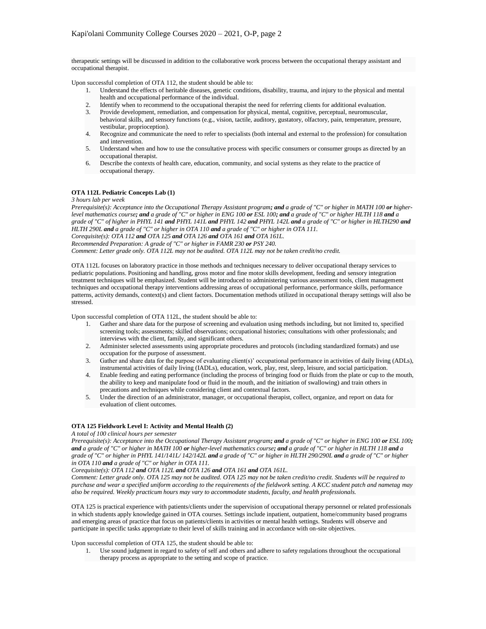therapeutic settings will be discussed in addition to the collaborative work process between the occupational therapy assistant and occupational therapist.

Upon successful completion of OTA 112, the student should be able to:

- 1. Understand the effects of heritable diseases, genetic conditions, disability, trauma, and injury to the physical and mental health and occupational performance of the individual.
- 2. Identify when to recommend to the occupational therapist the need for referring clients for additional evaluation.
- 3. Provide development, remediation, and compensation for physical, mental, cognitive, perceptual, neuromuscular, behavioral skills, and sensory functions (e.g., vision, tactile, auditory, gustatory, olfactory, pain, temperature, pressure, vestibular, proprioception).
- 4. Recognize and communicate the need to refer to specialists (both internal and external to the profession) for consultation and intervention.
- 5. Understand when and how to use the consultative process with specific consumers or consumer groups as directed by an occupational therapist.
- 6. Describe the contexts of health care, education, community, and social systems as they relate to the practice of occupational therapy.

## **OTA 112L Pediatric Concepts Lab (1)**

*3 hours lab per week*

*Prerequisite(s): Acceptance into the Occupational Therapy Assistant program; and a grade of "C" or higher in MATH 100 or higherlevel mathematics course; and a grade of "C" or higher in ENG 100 or ESL 100; and a grade of "C" or higher HLTH 118 and a grade of "C" of higher in PHYL 141 and PHYL 141L and PHYL 142 and PHYL 142L and a grade of "C" or higher in HLTH290 and HLTH 290L and a grade of "C" or higher in OTA 110 and a grade of "C" or higher in OTA 111. Corequisite(s): OTA 112 and OTA 125 and OTA 126 and OTA 161 and OTA 161L. Recommended Preparation: A grade of "C" or higher in FAMR 230 or PSY 240. Comment: Letter grade only. OTA 112L may not be audited. OTA 112L may not be taken credit/no credit.*

OTA 112L focuses on laboratory practice in those methods and techniques necessary to deliver occupational therapy services to pediatric populations. Positioning and handling, gross motor and fine motor skills development, feeding and sensory integration treatment techniques will be emphasized. Student will be introduced to administering various assessment tools, client management techniques and occupational therapy interventions addressing areas of occupational performance, performance skills, performance patterns, activity demands, context(s) and client factors. Documentation methods utilized in occupational therapy settings will also be stressed.

Upon successful completion of OTA 112L, the student should be able to:

- 1. Gather and share data for the purpose of screening and evaluation using methods including, but not limited to, specified screening tools; assessments; skilled observations; occupational histories; consultations with other professionals; and interviews with the client, family, and significant others.
- 2. Administer selected assessments using appropriate procedures and protocols (including standardized formats) and use occupation for the purpose of assessment.
- 3. Gather and share data for the purpose of evaluating client(s)' occupational performance in activities of daily living (ADLs), instrumental activities of daily living (IADLs), education, work, play, rest, sleep, leisure, and social participation.
- 4. Enable feeding and eating performance (including the process of bringing food or fluids from the plate or cup to the mouth, the ability to keep and manipulate food or fluid in the mouth, and the initiation of swallowing) and train others in precautions and techniques while considering client and contextual factors.
- 5. Under the direction of an administrator, manager, or occupational therapist, collect, organize, and report on data for evaluation of client outcomes.

#### **OTA 125 Fieldwork Level I: Activity and Mental Health (2)**

#### *A total of 100 clinical hours per semester*

*Prerequisite(s): Acceptance into the Occupational Therapy Assistant program; and a grade of "C" or higher in ENG 100 or ESL 100; and a grade of "C" or higher in MATH 100 or higher-level mathematics course; and a grade of "C" or higher in HLTH 118 and a grade of "C" or higher in PHYL 141/141L/ 142/142L and a grade of "C" or higher in HLTH 290/290L and a grade of "C" or higher in OTA 110 and a grade of "C" or higher in OTA 111.*

*Corequisite(s): OTA 112 and OTA 112L and OTA 126 and OTA 161 and OTA 161L.*

*Comment: Letter grade only. OTA 125 may not be audited. OTA 125 may not be taken credit/no credit. Students will be required to purchase and wear a specified uniform according to the requirements of the fieldwork setting. A KCC student patch and nametag may also be required. Weekly practicum hours may vary to accommodate students, faculty, and health professionals.*

OTA 125 is practical experience with patients/clients under the supervision of occupational therapy personnel or related professionals in which students apply knowledge gained in OTA courses. Settings include inpatient, outpatient, home/community based programs and emerging areas of practice that focus on patients/clients in activities or mental health settings. Students will observe and participate in specific tasks appropriate to their level of skills training and in accordance with on-site objectives.

Upon successful completion of OTA 125, the student should be able to:

1. Use sound judgment in regard to safety of self and others and adhere to safety regulations throughout the occupational therapy process as appropriate to the setting and scope of practice.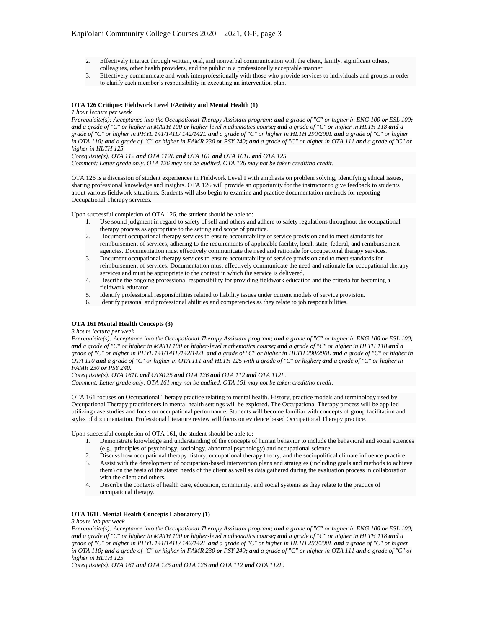- 2. Effectively interact through written, oral, and nonverbal communication with the client, family, significant others, colleagues, other health providers, and the public in a professionally acceptable manner.
- 3. Effectively communicate and work interprofessionally with those who provide services to individuals and groups in order to clarify each member's responsibility in executing an intervention plan.

### **OTA 126 Critique: Fieldwork Level I/Activity and Mental Health (1)**

#### *1 hour lecture per week*

*Prerequisite(s): Acceptance into the Occupational Therapy Assistant program; and a grade of "C" or higher in ENG 100 or ESL 100; and a grade of "C" or higher in MATH 100 or higher-level mathematics course; and a grade of "C" or higher in HLTH 118 and a grade of "C" or higher in PHYL 141/141L/ 142/142L and a grade of "C" or higher in HLTH 290/290L and a grade of "C" or higher in OTA 110; and a grade of "C" or higher in FAMR 230 or PSY 240; and a grade of "C" or higher in OTA 111 and a grade of "C" or higher in HLTH 125.*

*Corequisite(s): OTA 112 and OTA 112L and OTA 161 and OTA 161L and OTA 125. Comment: Letter grade only. OTA 126 may not be audited. OTA 126 may not be taken credit/no credit.*

OTA 126 is a discussion of student experiences in Fieldwork Level I with emphasis on problem solving, identifying ethical issues, sharing professional knowledge and insights. OTA 126 will provide an opportunity for the instructor to give feedback to students about various fieldwork situations. Students will also begin to examine and practice documentation methods for reporting Occupational Therapy services.

Upon successful completion of OTA 126, the student should be able to:

- 1. Use sound judgment in regard to safety of self and others and adhere to safety regulations throughout the occupational therapy process as appropriate to the setting and scope of practice.
- 2. Document occupational therapy services to ensure accountability of service provision and to meet standards for reimbursement of services, adhering to the requirements of applicable facility, local, state, federal, and reimbursement agencies. Documentation must effectively communicate the need and rationale for occupational therapy services.
- 3. Document occupational therapy services to ensure accountability of service provision and to meet standards for reimbursement of services. Documentation must effectively communicate the need and rationale for occupational therapy services and must be appropriate to the context in which the service is delivered.
- 4. Describe the ongoing professional responsibility for providing fieldwork education and the criteria for becoming a fieldwork educator.
- 5. Identify professional responsibilities related to liability issues under current models of service provision.
- 6. Identify personal and professional abilities and competencies as they relate to job responsibilities.

#### **OTA 161 Mental Health Concepts (3)**

## *3 hours lecture per week*

*Prerequisite(s): Acceptance into the Occupational Therapy Assistant program; and a grade of "C" or higher in ENG 100 or ESL 100; and a grade of "C" or higher in MATH 100 or higher-level mathematics course; and a grade of "C" or higher in HLTH 118 and a grade of "C" or higher in PHYL 141/141L/142/142L and a grade of "C" or higher in HLTH 290/290L and a grade of "C" or higher in OTA 110 and a grade of "C" or higher in OTA 111 and HLTH 125 with a grade of "C" or higher; and a grade of "C" or higher in FAMR 230 or PSY 240.*

*Corequisite(s): OTA 161L and OTA125 and OTA 126 and OTA 112 and OTA 112L. Comment: Letter grade only. OTA 161 may not be audited. OTA 161 may not be taken credit/no credit.*

OTA 161 focuses on Occupational Therapy practice relating to mental health. History, practice models and terminology used by Occupational Therapy practitioners in mental health settings will be explored. The Occupational Therapy process will be applied utilizing case studies and focus on occupational performance. Students will become familiar with concepts of group facilitation and styles of documentation. Professional literature review will focus on evidence based Occupational Therapy practice.

Upon successful completion of OTA 161, the student should be able to:

- 1. Demonstrate knowledge and understanding of the concepts of human behavior to include the behavioral and social sciences (e.g., principles of psychology, sociology, abnormal psychology) and occupational science.
- 2. Discuss how occupational therapy history, occupational therapy theory, and the sociopolitical climate influence practice.
- 3. Assist with the development of occupation-based intervention plans and strategies (including goals and methods to achieve them) on the basis of the stated needs of the client as well as data gathered during the evaluation process in collaboration with the client and others.
- 4. Describe the contexts of health care, education, community, and social systems as they relate to the practice of occupational therapy.

#### **OTA 161L Mental Health Concepts Laboratory (1)**

### *3 hours lab per week*

*Prerequisite(s): Acceptance into the Occupational Therapy Assistant program; and a grade of "C" or higher in ENG 100 or ESL 100; and a grade of "C" or higher in MATH 100 or higher-level mathematics course; and a grade of "C" or higher in HLTH 118 and a grade of "C" or higher in PHYL 141/141L/ 142/142L and a grade of "C" or higher in HLTH 290/290L and a grade of "C" or higher in OTA 110; and a grade of "C" or higher in FAMR 230 or PSY 240; and a grade of "C" or higher in OTA 111 and a grade of "C" or higher in HLTH 125.* 

*Corequisite(s): OTA 161 and OTA 125 and OTA 126 and OTA 112 and OTA 112L.*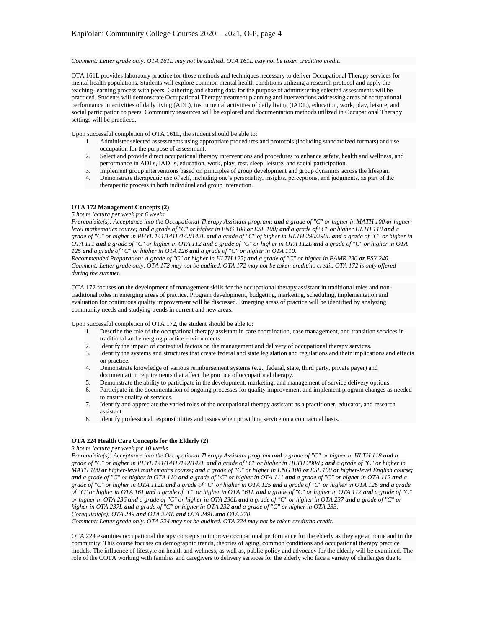### *Comment: Letter grade only. OTA 161L may not be audited. OTA 161L may not be taken credit/no credit.*

OTA 161L provides laboratory practice for those methods and techniques necessary to deliver Occupational Therapy services for mental health populations. Students will explore common mental health conditions utilizing a research protocol and apply the teaching-learning process with peers. Gathering and sharing data for the purpose of administering selected assessments will be practiced. Students will demonstrate Occupational Therapy treatment planning and interventions addressing areas of occupational performance in activities of daily living (ADL), instrumental activities of daily living (IADL), education, work, play, leisure, and social participation to peers. Community resources will be explored and documentation methods utilized in Occupational Therapy settings will be practiced.

Upon successful completion of OTA 161L, the student should be able to:

- 1. Administer selected assessments using appropriate procedures and protocols (including standardized formats) and use occupation for the purpose of assessment.
- 2. Select and provide direct occupational therapy interventions and procedures to enhance safety, health and wellness, and performance in ADLs, IADLs, education, work, play, rest, sleep, leisure, and social participation.
- 3. Implement group interventions based on principles of group development and group dynamics across the lifespan.
- 4. Demonstrate therapeutic use of self, including one's personality, insights, perceptions, and judgments, as part of the therapeutic process in both individual and group interaction.

## **OTA 172 Management Concepts (2)**

#### *5 hours lecture per week for 6 weeks*

*Prerequisite(s): Acceptance into the Occupational Therapy Assistant program; and a grade of "C" or higher in MATH 100 or higherlevel mathematics course; and a grade of "C" or higher in ENG 100 or ESL 100; and a grade of "C" or higher HLTH 118 and a grade of "C" or higher in PHYL 141/141L/142/142L and a grade of "C" of higher in HLTH 290/290L and a grade of "C" or higher in OTA 111 and a grade of "C" or higher in OTA 112 and a grade of "C" or higher in OTA 112L and a grade of "C" or higher in OTA 125 and a grade of "C" or higher in OTA 126 and a grade of "C" or higher in OTA 110.* 

*Recommended Preparation: A grade of "C" or higher in HLTH 125; and a grade of "C" or higher in FAMR 230 or PSY 240. Comment: Letter grade only. OTA 172 may not be audited. OTA 172 may not be taken credit/no credit. OTA 172 is only offered during the summer.*

OTA 172 focuses on the development of management skills for the occupational therapy assistant in traditional roles and nontraditional roles in emerging areas of practice. Program development, budgeting, marketing, scheduling, implementation and evaluation for continuous quality improvement will be discussed. Emerging areas of practice will be identified by analyzing community needs and studying trends in current and new areas.

Upon successful completion of OTA 172, the student should be able to:

- 1. Describe the role of the occupational therapy assistant in care coordination, case management, and transition services in traditional and emerging practice environments.
- 2. Identify the impact of contextual factors on the management and delivery of occupational therapy services.
- 3. Identify the systems and structures that create federal and state legislation and regulations and their implications and effects on practice.
- 4. Demonstrate knowledge of various reimbursement systems (e.g., federal, state, third party, private payer) and documentation requirements that affect the practice of occupational therapy.
- 5. Demonstrate the ability to participate in the development, marketing, and management of service delivery options.
- 6. Participate in the documentation of ongoing processes for quality improvement and implement program changes as needed to ensure quality of services.
- 7. Identify and appreciate the varied roles of the occupational therapy assistant as a practitioner, educator, and research assistant.
- 8. Identify professional responsibilities and issues when providing service on a contractual basis.

## **OTA 224 Health Care Concepts for the Elderly (2)**

*3 hours lecture per week for 10 weeks*

*Prerequisite(s): Acceptance into the Occupational Therapy Assistant program and a grade of "C" or higher in HLTH 118 and a grade of "C" or higher in PHYL 141/141L/142/142L and a grade of "C" or higher in HLTH 290/L; and a grade of "C" or higher in MATH 100 or higher-level mathematics course; and a grade of "C" or higher in ENG 100 or ESL 100 or higher-level English course; and a grade of "C" or higher in OTA 110 and a grade of "C" or higher in OTA 111 and a grade of "C" or higher in OTA 112 and a grade of "C" or higher in OTA 112L and a grade of "C" or higher in OTA 125 and a grade of "C" or higher in OTA 126 and a grade of "C" or higher in OTA 161 and a grade of "C" or higher in OTA 161L and a grade of "C" or higher in OTA 172 and a grade of "C" or higher in OTA 236 and a grade of "C" or higher in OTA 236L and a grade of "C" or higher in OTA 237 and a grade of "C" or higher in OTA 237L and a grade of "C" or higher in OTA 232 and a grade of "C" or higher in OTA 233. Corequisite(s): OTA 249 and OTA 224L and OTA 249L and OTA 270.*

*Comment: Letter grade only. OTA 224 may not be audited. OTA 224 may not be taken credit/no credit.*

OTA 224 examines occupational therapy concepts to improve occupational performance for the elderly as they age at home and in the community. This course focuses on demographic trends, theories of aging, common conditions and occupational therapy practice models. The influence of lifestyle on health and wellness, as well as, public policy and advocacy for the elderly will be examined. The role of the COTA working with families and caregivers to delivery services for the elderly who face a variety of challenges due to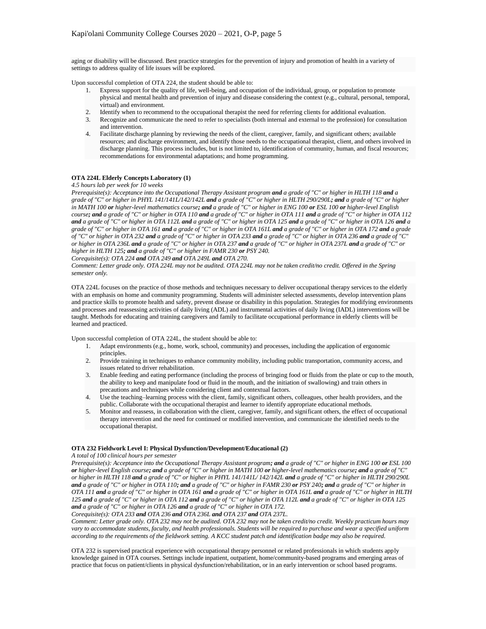aging or disability will be discussed. Best practice strategies for the prevention of injury and promotion of health in a variety of settings to address quality of life issues will be explored.

Upon successful completion of OTA 224, the student should be able to:

- Express support for the quality of life, well-being, and occupation of the individual, group, or population to promote physical and mental health and prevention of injury and disease considering the context (e.g., cultural, personal, temporal, virtual) and environment.
- 2. Identify when to recommend to the occupational therapist the need for referring clients for additional evaluation.
- 3. Recognize and communicate the need to refer to specialists (both internal and external to the profession) for consultation and intervention.
- 4. Facilitate discharge planning by reviewing the needs of the client, caregiver, family, and significant others; available resources; and discharge environment, and identify those needs to the occupational therapist, client, and others involved in discharge planning. This process includes, but is not limited to, identification of community, human, and fiscal resources; recommendations for environmental adaptations; and home programming.

## **OTA 224L Elderly Concepts Laboratory (1)**

#### *4.5 hours lab per week for 10 weeks*

*Prerequisite(s): Acceptance into the Occupational Therapy Assistant program and a grade of "C" or higher in HLTH 118 and a grade of "C" or higher in PHYL 141/141L/142/142L and a grade of "C" or higher in HLTH 290/290L; and a grade of "C" or higher in MATH 100 or higher-level mathematics course; and a grade of "C" or higher in ENG 100 or ESL 100 or higher-level English course; and a grade of "C" or higher in OTA 110 and a grade of "C" or higher in OTA 111 and a grade of "C" or higher in OTA 112 and a grade of "C" or higher in OTA 112L and a grade of "C" or higher in OTA 125 and a grade of "C" or higher in OTA 126 and a grade of "C" or higher in OTA 161 and a grade of "C" or higher in OTA 161L and a grade of "C" or higher in OTA 172 and a grade of "C" or higher in OTA 232 and a grade of "C" or higher in OTA 233 and a grade of "C" or higher in OTA 236 and a grade of "C" or higher in OTA 236L and a grade of "C" or higher in OTA 237 and a grade of "C" or higher in OTA 237L and a grade of "C" or higher in HLTH 125; and a grade of "C" or higher in FAMR 230 or PSY 240.* 

*Corequisite(s): OTA 224 and OTA 249 and OTA 249L and OTA 270.*

*Comment: Letter grade only. OTA 224L may not be audited. OTA 224L may not be taken credit/no credit. Offered in the Spring semester only.*

OTA 224L focuses on the practice of those methods and techniques necessary to deliver occupational therapy services to the elderly with an emphasis on home and community programming. Students will administer selected assessments, develop intervention plans and practice skills to promote health and safety, prevent disease or disability in this population. Strategies for modifying environments and processes and reassessing activities of daily living (ADL) and instrumental activities of daily living (IADL) interventions will be taught. Methods for educating and training caregivers and family to facilitate occupational performance in elderly clients will be learned and practiced.

Upon successful completion of OTA 224L, the student should be able to:

- 1. Adapt environments (e.g., home, work, school, community) and processes, including the application of ergonomic principles.
- 2. Provide training in techniques to enhance community mobility, including public transportation, community access, and issues related to driver rehabilitation.
- 3. Enable feeding and eating performance (including the process of bringing food or fluids from the plate or cup to the mouth, the ability to keep and manipulate food or fluid in the mouth, and the initiation of swallowing) and train others in precautions and techniques while considering client and contextual factors.
- 4. Use the teaching–learning process with the client, family, significant others, colleagues, other health providers, and the public. Collaborate with the occupational therapist and learner to identify appropriate educational methods.
- 5. Monitor and reassess, in collaboration with the client, caregiver, family, and significant others, the effect of occupational therapy intervention and the need for continued or modified intervention, and communicate the identified needs to the occupational therapist.

#### **OTA 232 Fieldwork Level I: Physical Dysfunction/Development/Educational (2)**

### *A total of 100 clinical hours per semester*

*Prerequisite(s): Acceptance into the Occupational Therapy Assistant program; and a grade of "C" or higher in ENG 100 or ESL 100 or higher-level English course; and a grade of "C" or higher in MATH 100 or higher-level mathematics course; and a grade of "C" or higher in HLTH 118 and a grade of "C" or higher in PHYL 141/141L/ 142/142L and a grade of "C" or higher in HLTH 290/290L and a grade of "C" or higher in OTA 110; and a grade of "C" or higher in FAMR 230 or PSY 240; and a grade of "C" or higher in OTA 111 and a grade of "C" or higher in OTA 161 and a grade of "C" or higher in OTA 161L and a grade of "C" or higher in HLTH 125 and a grade of "C" or higher in OTA 112 and a grade of "C" or higher in OTA 112L and a grade of "C" or higher in OTA 125 and a grade of "C" or higher in OTA 126 and a grade of "C" or higher in OTA 172.* 

*Corequisite(s): OTA 233 and OTA 236 and OTA 236L and OTA 237 and OTA 237L.*

*Comment: Letter grade only. OTA 232 may not be audited. OTA 232 may not be taken credit/no credit. Weekly practicum hours may vary to accommodate students, faculty, and health professionals. Students will be required to purchase and wear a specified uniform according to the requirements of the fieldwork setting. A KCC student patch and identification badge may also be required.*

OTA 232 is supervised practical experience with occupational therapy personnel or related professionals in which students apply knowledge gained in OTA courses. Settings include inpatient, outpatient, home/community-based programs and emerging areas of practice that focus on patient/clients in physical dysfunction/rehabilitation, or in an early intervention or school based programs.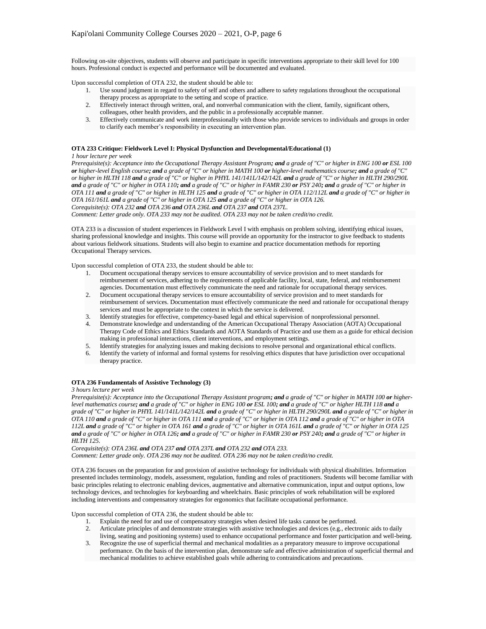Following on-site objectives, students will observe and participate in specific interventions appropriate to their skill level for 100 hours. Professional conduct is expected and performance will be documented and evaluated.

Upon successful completion of OTA 232, the student should be able to:

- 1. Use sound judgment in regard to safety of self and others and adhere to safety regulations throughout the occupational therapy process as appropriate to the setting and scope of practice.
- 2. Effectively interact through written, oral, and nonverbal communication with the client, family, significant others, colleagues, other health providers, and the public in a professionally acceptable manner.
- 3. Effectively communicate and work interprofessionally with those who provide services to individuals and groups in order to clarify each member's responsibility in executing an intervention plan.

## **OTA 233 Critique: Fieldwork Level I: Physical Dysfunction and Developmental/Educational (1)**

#### *1 hour lecture per week*

*Prerequisite(s): Acceptance into the Occupational Therapy Assistant Program; and a grade of "C" or higher in ENG 100 or ESL 100 or higher-level English course; and a grade of "C" or higher in MATH 100 or higher-level mathematics course; and a grade of "C" or higher in HLTH 118 and a grade of "C" or higher in PHYL 141/141L/142/142L and a grade of "C" or higher in HLTH 290/290L and a grade of "C" or higher in OTA 110; and a grade of "C" or higher in FAMR 230 or PSY 240; and a grade of "C" or higher in OTA 111 and a grade of "C" or higher in HLTH 125 and a grade of "C" or higher in OTA 112/112L and a grade of "C" or higher in OTA 161/161L and a grade of "C" or higher in OTA 125 and a grade of "C" or higher in OTA 126. Corequisite(s): OTA 232 and OTA 236 and OTA 236L and OTA 237 and OTA 237L.*

*Comment: Letter grade only. OTA 233 may not be audited. OTA 233 may not be taken credit/no credit.*

OTA 233 is a discussion of student experiences in Fieldwork Level I with emphasis on problem solving, identifying ethical issues, sharing professional knowledge and insights. This course will provide an opportunity for the instructor to give feedback to students about various fieldwork situations. Students will also begin to examine and practice documentation methods for reporting Occupational Therapy services.

Upon successful completion of OTA 233, the student should be able to:

- 1. Document occupational therapy services to ensure accountability of service provision and to meet standards for reimbursement of services, adhering to the requirements of applicable facility, local, state, federal, and reimbursement agencies. Documentation must effectively communicate the need and rationale for occupational therapy services.
- 2. Document occupational therapy services to ensure accountability of service provision and to meet standards for reimbursement of services. Documentation must effectively communicate the need and rationale for occupational therapy services and must be appropriate to the context in which the service is delivered.
- 3. Identify strategies for effective, competency-based legal and ethical supervision of nonprofessional personnel.
- 4. Demonstrate knowledge and understanding of the American Occupational Therapy Association (AOTA) Occupational Therapy Code of Ethics and Ethics Standards and AOTA Standards of Practice and use them as a guide for ethical decision making in professional interactions, client interventions, and employment settings.
- 5. Identify strategies for analyzing issues and making decisions to resolve personal and organizational ethical conflicts.
- 6. Identify the variety of informal and formal systems for resolving ethics disputes that have jurisdiction over occupational therapy practice.

#### **OTA 236 Fundamentals of Assistive Technology (3)**

#### *3 hours lecture per week*

*Prerequisite(s): Acceptance into the Occupational Therapy Assistant program; and a grade of "C" or higher in MATH 100 or higherlevel mathematics course; and a grade of "C" or higher in ENG 100 or ESL 100; and a grade of "C" or higher HLTH 118 and a grade of "C" or higher in PHYL 141/141L/142/142L and a grade of "C" or higher in HLTH 290/290L and a grade of "C" or higher in OTA 110 and a grade of "C" or higher in OTA 111 and a grade of "C" or higher in OTA 112 and a grade of "C" or higher in OTA 112L and a grade of "C" or higher in OTA 161 and a grade of "C" or higher in OTA 161L and a grade of "C" or higher in OTA 125 and a grade of "C" or higher in OTA 126; and a grade of "C" or higher in FAMR 230 or PSY 240; and a grade of "C" or higher in HLTH 125.* 

*Corequisite(s): OTA 236L and OTA 237 and OTA 237L and OTA 232 and OTA 233. Comment: Letter grade only. OTA 236 may not be audited. OTA 236 may not be taken credit/no credit.*

OTA 236 focuses on the preparation for and provision of assistive technology for individuals with physical disabilities. Information presented includes terminology, models, assessment, regulation, funding and roles of practitioners. Students will become familiar with basic principles relating to electronic enabling devices, augmentative and alternative communication, input and output options, low technology devices, and technologies for keyboarding and wheelchairs. Basic principles of work rehabilitation will be explored including interventions and compensatory strategies for ergonomics that facilitate occupational performance.

Upon successful completion of OTA 236, the student should be able to:

- 1. Explain the need for and use of compensatory strategies when desired life tasks cannot be performed.
- 2. Articulate principles of and demonstrate strategies with assistive technologies and devices (e.g., electronic aids to daily living, seating and positioning systems) used to enhance occupational performance and foster participation and well-being.
- 3. Recognize the use of superficial thermal and mechanical modalities as a preparatory measure to improve occupational performance. On the basis of the intervention plan, demonstrate safe and effective administration of superficial thermal and mechanical modalities to achieve established goals while adhering to contraindications and precautions.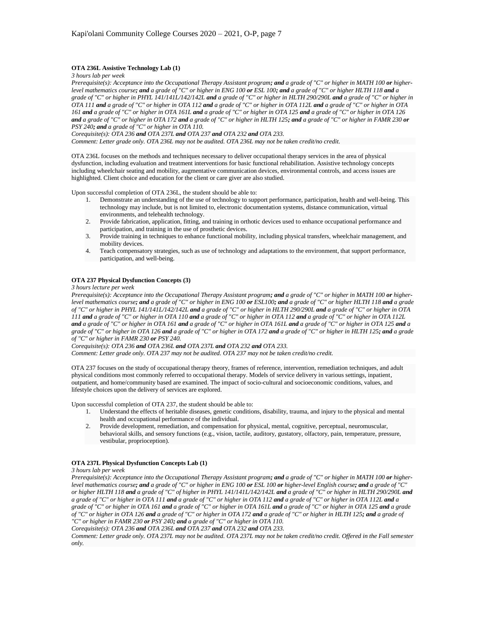### **OTA 236L Assistive Technology Lab (1)**

*3 hours lab per week*

*Prerequisite(s): Acceptance into the Occupational Therapy Assistant program; and a grade of "C" or higher in MATH 100 or higherlevel mathematics course; and a grade of "C" or higher in ENG 100 or ESL 100; and a grade of "C" or higher HLTH 118 and a grade of "C" or higher in PHYL 141/141L/142/142L and a grade of "C" or higher in HLTH 290/290L and a grade of "C" or higher in OTA 111 and a grade of "C" or higher in OTA 112 and a grade of "C" or higher in OTA 112L and a grade of "C" or higher in OTA 161 and a grade of "C" or higher in OTA 161L and a grade of "C" or higher in OTA 125 and a grade of "C" or higher in OTA 126 and a grade of "C" or higher in OTA 172 and a grade of "C" or higher in HLTH 125; and a grade of "C" or higher in FAMR 230 or PSY 240; and a grade of "C" or higher in OTA 110.* 

*Corequisite(s): OTA 236 and OTA 237L and OTA 237 and OTA 232 and OTA 233.*

*Comment: Letter grade only. OTA 236L may not be audited. OTA 236L may not be taken credit/no credit.*

OTA 236L focuses on the methods and techniques necessary to deliver occupational therapy services in the area of physical dysfunction, including evaluation and treatment interventions for basic functional rehabilitation. Assistive technology concepts including wheelchair seating and mobility, augmentative communication devices, environmental controls, and access issues are highlighted. Client choice and education for the client or care giver are also studied.

Upon successful completion of OTA 236L, the student should be able to:

- 1. Demonstrate an understanding of the use of technology to support performance, participation, health and well-being. This technology may include, but is not limited to, electronic documentation systems, distance communication, virtual environments, and telehealth technology.
- 2. Provide fabrication, application, fitting, and training in orthotic devices used to enhance occupational performance and participation, and training in the use of prosthetic devices.
- 3. Provide training in techniques to enhance functional mobility, including physical transfers, wheelchair management, and mobility devices.
- 4. Teach compensatory strategies, such as use of technology and adaptations to the environment, that support performance, participation, and well-being.

## **OTA 237 Physical Dysfunction Concepts (3)**

*3 hours lecture per week*

*Prerequisite(s): Acceptance into the Occupational Therapy Assistant program; and a grade of "C" or higher in MATH 100 or higherlevel mathematics course; and a grade of "C" or higher in ENG 100 or ESL100; and a grade of "C" or higher HLTH 118 and a grade of "C" or higher in PHYL 141/141L/142/142L and a grade of "C" or higher in HLTH 290/290L and a grade of "C" or higher in OTA 111 and a grade of "C" or higher in OTA 110 and a grade of "C" or higher in OTA 112 and a grade of "C" or higher in OTA 112L and a grade of "C" or higher in OTA 161 and a grade of "C" or higher in OTA 161L and a grade of "C" or higher in OTA 125 and a grade of "C" or higher in OTA 126 and a grade of "C" or higher in OTA 172 and a grade of "C" or higher in HLTH 125; and a grade of "C" or higher in FAMR 230 or PSY 240.* 

*Corequisite(s): OTA 236 and OTA 236L and OTA 237L and OTA 232 and OTA 233.*

*Comment: Letter grade only. OTA 237 may not be audited. OTA 237 may not be taken credit/no credit.*

OTA 237 focuses on the study of occupational therapy theory, frames of reference, intervention, remediation techniques, and adult physical conditions most commonly referred to occupational therapy. Models of service delivery in various settings, inpatient, outpatient, and home/community based are examined. The impact of socio-cultural and socioeconomic conditions, values, and lifestyle choices upon the delivery of services are explored.

Upon successful completion of OTA 237, the student should be able to:

- 1. Understand the effects of heritable diseases, genetic conditions, disability, trauma, and injury to the physical and mental health and occupational performance of the individual.
- 2. Provide development, remediation, and compensation for physical, mental, cognitive, perceptual, neuromuscular, behavioral skills, and sensory functions (e.g., vision, tactile, auditory, gustatory, olfactory, pain, temperature, pressure, vestibular, proprioception).

## **OTA 237L Physical Dysfunction Concepts Lab (1)**

#### *3 hours lab per week*

*Prerequisite(s): Acceptance into the Occupational Therapy Assistant program; and a grade of "C" or higher in MATH 100 or higherlevel mathematics course; and a grade of "C" or higher in ENG 100 or ESL 100 or higher-level English course; and a grade of "C" or higher HLTH 118 and a grade of "C" of higher in PHYL 141/141L/142/142L and a grade of "C" or higher in HLTH 290/290L and a grade of "C" or higher in OTA 111 and a grade of "C" or higher in OTA 112 and a grade of "C" or higher in OTA 112L and a grade of "C" or higher in OTA 161 and a grade of "C" or higher in OTA 161L and a grade of "C" or higher in OTA 125 and a grade of "C" or higher in OTA 126 and a grade of "C" or higher in OTA 172 and a grade of "C" or higher in HLTH 125; and a grade of "C" or higher in FAMR 230 or PSY 240; and a grade of "C" or higher in OTA 110.* 

*Corequisite(s): OTA 236 and OTA 236L and OTA 237 and OTA 232 and OTA 233.*

*Comment: Letter grade only. OTA 237L may not be audited. OTA 237L may not be taken credit/no credit. Offered in the Fall semester only.*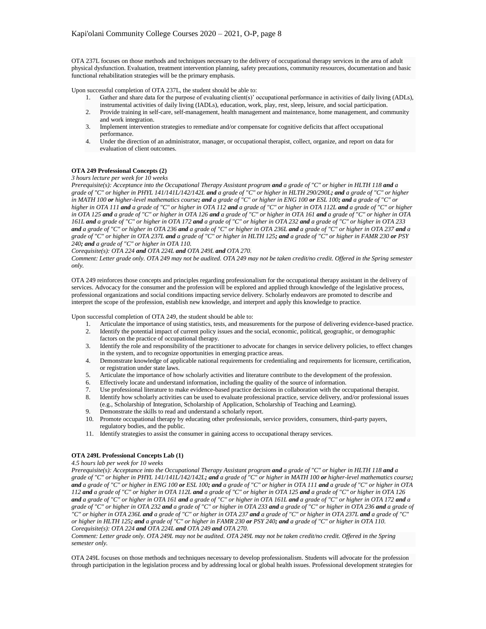OTA 237L focuses on those methods and techniques necessary to the delivery of occupational therapy services in the area of adult physical dysfunction. Evaluation, treatment intervention planning, safety precautions, community resources, documentation and basic functional rehabilitation strategies will be the primary emphasis.

Upon successful completion of OTA 237L, the student should be able to:

- 1. Gather and share data for the purpose of evaluating client(s)' occupational performance in activities of daily living (ADLs),
- instrumental activities of daily living (IADLs), education, work, play, rest, sleep, leisure, and social participation. 2. Provide training in self-care, self-management, health management and maintenance, home management, and community and work integration.
- 3. Implement intervention strategies to remediate and/or compensate for cognitive deficits that affect occupational performance.
- 4. Under the direction of an administrator, manager, or occupational therapist, collect, organize, and report on data for evaluation of client outcomes.

# **OTA 249 Professional Concepts (2)**

## *3 hours lecture per week for 10 weeks*

*Prerequisite(s): Acceptance into the Occupational Therapy Assistant program and a grade of "C" or higher in HLTH 118 and a grade of "C" or higher in PHYL 141/141L/142/142L and a grade of "C" or higher in HLTH 290/290L; and a grade of "C" or higher in MATH 100 or higher-level mathematics course; and a grade of "C" or higher in ENG 100 or ESL 100; and a grade of "C" or higher in OTA 111 and a grade of "C" or higher in OTA 112 and a grade of "C" or higher in OTA 112L and a grade of "C" or higher in OTA 125 and a grade of "C" or higher in OTA 126 and a grade of "C" or higher in OTA 161 and a grade of "C" or higher in OTA 161L and a grade of "C" or higher in OTA 172 and a grade of "C" or higher in OTA 232 and a grade of "C" or higher in OTA 233 and a grade of "C" or higher in OTA 236 and a grade of "C" or higher in OTA 236L and a grade of "C" or higher in OTA 237 and a grade of "C" or higher in OTA 237L and a grade of "C" or higher in HLTH 125; and a grade of "C" or higher in FAMR 230 or PSY 240; and a grade of "C" or higher in OTA 110.* 

#### *Corequisite(s): OTA 224 and OTA 224L and OTA 249L and OTA 270.*

*Comment: Letter grade only. OTA 249 may not be audited. OTA 249 may not be taken credit/no credit. Offered in the Spring semester only.*

OTA 249 reinforces those concepts and principles regarding professionalism for the occupational therapy assistant in the delivery of services. Advocacy for the consumer and the profession will be explored and applied through knowledge of the legislative process, professional organizations and social conditions impacting service delivery. Scholarly endeavors are promoted to describe and interpret the scope of the profession, establish new knowledge, and interpret and apply this knowledge to practice.

Upon successful completion of OTA 249, the student should be able to:

- 1. Articulate the importance of using statistics, tests, and measurements for the purpose of delivering evidence-based practice.
- 2. Identify the potential impact of current policy issues and the social, economic, political, geographic, or demographic factors on the practice of occupational therapy.
- 3. Identify the role and responsibility of the practitioner to advocate for changes in service delivery policies, to effect changes in the system, and to recognize opportunities in emerging practice areas.
- 4. Demonstrate knowledge of applicable national requirements for credentialing and requirements for licensure, certification, or registration under state laws.
- 5. Articulate the importance of how scholarly activities and literature contribute to the development of the profession.
- 6. Effectively locate and understand information, including the quality of the source of information.
- 
- 7. Use professional literature to make evidence-based practice decisions in collaboration with the occupational therapist.<br>8. Identify how scholarly activities can be used to evaluate professional practice, service deliver 8. Identify how scholarly activities can be used to evaluate professional practice, service delivery, and/or professional issues (e.g., Scholarship of Integration, Scholarship of Application, Scholarship of Teaching and Learning).
- 9. Demonstrate the skills to read and understand a scholarly report.
- 10. Promote occupational therapy by educating other professionals, service providers, consumers, third-party payers, regulatory bodies, and the public.
- 11. Identify strategies to assist the consumer in gaining access to occupational therapy services.

## **OTA 249L Professional Concepts Lab (1)**

#### *4.5 hours lab per week for 10 weeks*

*Prerequisite(s): Acceptance into the Occupational Therapy Assistant program and a grade of "C" or higher in HLTH 118 and a grade of "C" or higher in PHYL 141/141L/142/142L; and a grade of "C" or higher in MATH 100 or higher-level mathematics course; and a grade of "C" or higher in ENG 100 or ESL 100; and a grade of "C" or higher in OTA 111 and a grade of "C" or higher in OTA 112 and a grade of "C" or higher in OTA 112L and a grade of "C" or higher in OTA 125 and a grade of "C" or higher in OTA 126 and a grade of "C" or higher in OTA 161 and a grade of "C" or higher in OTA 161L and a grade of "C" or higher in OTA 172 and a grade of "C" or higher in OTA 232 and a grade of "C" or higher in OTA 233 and a grade of "C" or higher in OTA 236 and a grade of "C" or higher in OTA 236L and a grade of "C" or higher in OTA 237 and a grade of "C" or higher in OTA 237L and a grade of "C" or higher in HLTH 125; and a grade of "C" or higher in FAMR 230 or PSY 240; and a grade of "C" or higher in OTA 110. Corequisite(s): OTA 224 and OTA 224L and OTA 249 and OTA 270.*

*Comment: Letter grade only. OTA 249L may not be audited. OTA 249L may not be taken credit/no credit. Offered in the Spring semester only.*

OTA 249L focuses on those methods and techniques necessary to develop professionalism. Students will advocate for the profession through participation in the legislation process and by addressing local or global health issues. Professional development strategies for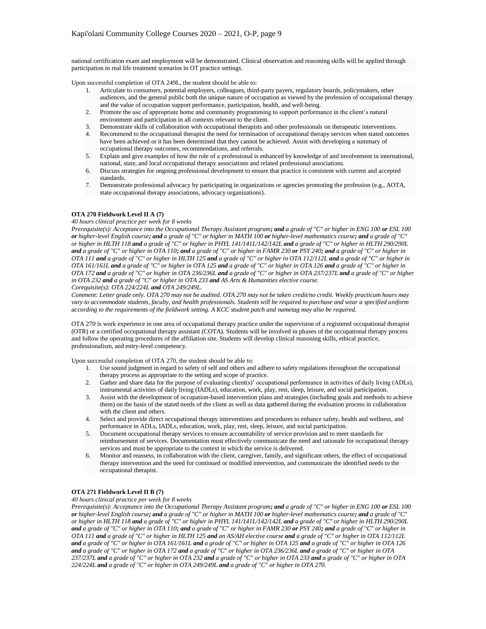national certification exam and employment will be demonstrated. Clinical observation and reasoning skills will be applied through participation in real life treatment scenarios in OT practice settings.

Upon successful completion of OTA 249L, the student should be able to:

- 1. Articulate to consumers, potential employers, colleagues, third-party payers, regulatory boards, policymakers, other audiences, and the general public both the unique nature of occupation as viewed by the profession of occupational therapy and the value of occupation support performance, participation, health, and well-being.
- 2. Promote the use of appropriate home and community programming to support performance in the client's natural environment and participation in all contexts relevant to the client.
- 3. Demonstrate skills of collaboration with occupational therapists and other professionals on therapeutic interventions.
- 4. Recommend to the occupational therapist the need for termination of occupational therapy services when stated outcomes have been achieved or it has been determined that they cannot be achieved. Assist with developing a summary of occupational therapy outcomes, recommendations, and referrals.
- 5. Explain and give examples of how the role of a professional is enhanced by knowledge of and involvement in international, national, state, and local occupational therapy associations and related professional associations.
- 6. Discuss strategies for ongoing professional development to ensure that practice is consistent with current and accepted standards.
- 7. Demonstrate professional advocacy by participating in organizations or agencies promoting the profession (e.g., AOTA, state occupational therapy associations, advocacy organizations).

## **OTA 270 Fieldwork Level II A (7)**

*40 hours clinical practice per week for 8 weeks*

*Prerequisite(s): Acceptance into the Occupational Therapy Assistant program; and a grade of "C" or higher in ENG 100 or ESL 100 or higher-level English course; and a grade of "C" or higher in MATH 100 or higher-level mathematics course; and a grade of "C" or higher in HLTH 118 and a grade of "C" or higher in PHYL 141/141L/142/142L and a grade of "C" or higher in HLTH 290/290L and a grade of "C" or higher in OTA 110; and a grade of "C" or higher in FAMR 230 or PSY 240; and a grade of "C" or higher in OTA 111 and a grade of "C" or higher in HLTH 125 and a grade of "C" or higher in OTA 112/112L and a grade of "C" or higher in OTA 161/161L and a grade of "C" or higher in OTA 125 and a grade of "C" or higher in OTA 126 and a grade of "C" or higher in OTA 172 and a grade of "C" or higher in OTA 236/236L and a grade of "C" or higher in OTA 237/237L and a grade of "C" or higher in OTA 232 and a grade of "C" or higher in OTA 233 and AS Arts & Humanities elective course. Corequisite(s): OTA 224/224L and OTA 249/249L.*

*Comment: Letter grade only. OTA 270 may not be audited. OTA 270 may not be taken credit/no credit. Weekly practicum hours may vary to accommodate students, faculty, and health professionals. Students will be required to purchase and wear a specified uniform according to the requirements of the fieldwork setting. A KCC student patch and nametag may also be required.*

OTA 270 is work experience in one area of occupational therapy practice under the supervision of a registered occupational therapist (OTR) or a certified occupational therapy assistant (COTA). Students will be involved in phases of the occupational therapy process and follow the operating procedures of the affiliation site. Students will develop clinical reasoning skills, ethical practice, professionalism, and entry-level competency.

Upon successful completion of OTA 270, the student should be able to:

- 1. Use sound judgment in regard to safety of self and others and adhere to safety regulations throughout the occupational therapy process as appropriate to the setting and scope of practice.
- 2. Gather and share data for the purpose of evaluating client(s)' occupational performance in activities of daily living (ADLs), instrumental activities of daily living (IADLs), education, work, play, rest, sleep, leisure, and social participation.
- 3. Assist with the development of occupation-based intervention plans and strategies (including goals and methods to achieve them) on the basis of the stated needs of the client as well as data gathered during the evaluation process in collaboration with the client and others.
- 4. Select and provide direct occupational therapy interventions and procedures to enhance safety, health and wellness, and performance in ADLs, IADLs, education, work, play, rest, sleep, leisure, and social participation.
- 5. Document occupational therapy services to ensure accountability of service provision and to meet standards for reimbursement of services. Documentation must effectively communicate the need and rationale for occupational therapy services and must be appropriate to the context in which the service is delivered.
- 6. Monitor and reassess, in collaboration with the client, caregiver, family, and significant others, the effect of occupational therapy intervention and the need for continued or modified intervention, and communicate the identified needs to the occupational therapist.

## **OTA 271 Fieldwork Level II B (7)**

*40 hours clinical practice per week for 8 weeks*

*Prerequisite(s): Acceptance into the Occupational Therapy Assistant program; and a grade of "C" or higher in ENG 100 or ESL 100 or higher-level English course; and a grade of "C" or higher in MATH 100 or higher-level mathematics course; and a grade of "C" or higher in HLTH 118 and a grade of "C" or higher in PHYL 141/141L/142/142L and a grade of "C" or higher in HLTH 290/290L and a grade of "C" or higher in OTA 110; and a grade of "C" or higher in FAMR 230 or PSY 240; and a grade of "C" or higher in OTA 111 and a grade of "C" or higher in HLTH 125 and an AS/AH elective course and a grade of "C" or higher in OTA 112/112L and a grade of "C" or higher in OTA 161/161L and a grade of "C" or higher in OTA 125 and a grade of "C" or higher in OTA 126 and a grade of "C" or higher in OTA 172 and a grade of "C" or higher in OTA 236/236L and a grade of "C" or higher in OTA 237/237L and a grade of "C" or higher in OTA 232 and a grade of "C" or higher in OTA 233 and a grade of "C" or higher in OTA 224/224L and a grade of "C" or higher in OTA 249/249L and a grade of "C" or higher in OTA 270.*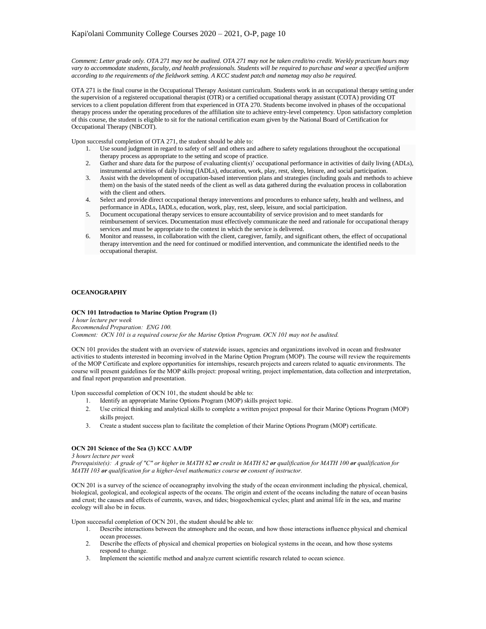*Comment: Letter grade only. OTA 271 may not be audited. OTA 271 may not be taken credit/no credit. Weekly practicum hours may vary to accommodate students, faculty, and health professionals. Students will be required to purchase and wear a specified uniform according to the requirements of the fieldwork setting. A KCC student patch and nametag may also be required.*

OTA 271 is the final course in the Occupational Therapy Assistant curriculum. Students work in an occupational therapy setting under the supervision of a registered occupational therapist (OTR) or a certified occupational therapy assistant (COTA) providing OT services to a client population different from that experienced in OTA 270. Students become involved in phases of the occupational therapy process under the operating procedures of the affiliation site to achieve entry-level competency. Upon satisfactory completion of this course, the student is eligible to sit for the national certification exam given by the National Board of Certification for Occupational Therapy (NBCOT).

Upon successful completion of OTA 271, the student should be able to:

- 1. Use sound judgment in regard to safety of self and others and adhere to safety regulations throughout the occupational therapy process as appropriate to the setting and scope of practice.
- 2. Gather and share data for the purpose of evaluating client(s)' occupational performance in activities of daily living (ADLs), instrumental activities of daily living (IADLs), education, work, play, rest, sleep, leisure, and social participation.
- 3. Assist with the development of occupation-based intervention plans and strategies (including goals and methods to achieve them) on the basis of the stated needs of the client as well as data gathered during the evaluation process in collaboration with the client and others.
- 4. Select and provide direct occupational therapy interventions and procedures to enhance safety, health and wellness, and performance in ADLs, IADLs, education, work, play, rest, sleep, leisure, and social participation.
- 5. Document occupational therapy services to ensure accountability of service provision and to meet standards for reimbursement of services. Documentation must effectively communicate the need and rationale for occupational therapy services and must be appropriate to the context in which the service is delivered.
- 6. Monitor and reassess, in collaboration with the client, caregiver, family, and significant others, the effect of occupational therapy intervention and the need for continued or modified intervention, and communicate the identified needs to the occupational therapist.

# **OCEANOGRAPHY**

## **OCN 101 Introduction to Marine Option Program (1)**

*1 hour lecture per week Recommended Preparation: ENG 100. Comment: OCN 101 is a required course for the Marine Option Program. OCN 101 may not be audited.*

OCN 101 provides the student with an overview of statewide issues, agencies and organizations involved in ocean and freshwater activities to students interested in becoming involved in the Marine Option Program (MOP). The course will review the requirements of the MOP Certificate and explore opportunities for internships, research projects and careers related to aquatic environments. The course will present guidelines for the MOP skills project: proposal writing, project implementation, data collection and interpretation, and final report preparation and presentation.

Upon successful completion of OCN 101, the student should be able to:

- 1. Identify an appropriate Marine Options Program (MOP) skills project topic.
- 2. Use critical thinking and analytical skills to complete a written project proposal for their Marine Options Program (MOP) skills project.
- 3. Create a student success plan to facilitate the completion of their Marine Options Program (MOP) certificate.

## **OCN 201 Science of the Sea (3) KCC AA/DP**

*3 hours lecture per week* 

*Prerequisite(s): A grade of "C" or higher in MATH 82 or credit in MATH 82 or qualification for MATH 100 or qualification for MATH 103 or qualification for a higher-level mathematics course or consent of instructor.* 

OCN 201 is a survey of the science of oceanography involving the study of the ocean environment including the physical, chemical, biological, geological, and ecological aspects of the oceans. The origin and extent of the oceans including the nature of ocean basins and crust; the causes and effects of currents, waves, and tides; biogeochemical cycles; plant and animal life in the sea, and marine ecology will also be in focus.

Upon successful completion of OCN 201, the student should be able to:

- 1. Describe interactions between the atmosphere and the ocean, and how those interactions influence physical and chemical ocean processes.
- 2. Describe the effects of physical and chemical properties on biological systems in the ocean, and how those systems respond to change.
- 3. Implement the scientific method and analyze current scientific research related to ocean science.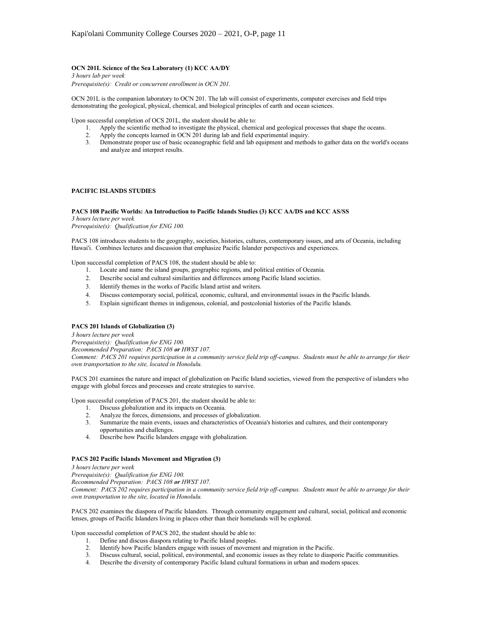# **OCN 201L Science of the Sea Laboratory (1) KCC AA/DY**

*3 hours lab per week Prerequisite(s): Credit or concurrent enrollment in OCN 201.*

OCN 201L is the companion laboratory to OCN 201. The lab will consist of experiments, computer exercises and field trips demonstrating the geological, physical, chemical, and biological principles of earth and ocean sciences.

Upon successful completion of OCS 201L, the student should be able to:

- 1. Apply the scientific method to investigate the physical, chemical and geological processes that shape the oceans.
- 2. Apply the concepts learned in OCN 201 during lab and field experimental inquiry.
- 3. Demonstrate proper use of basic oceanographic field and lab equipment and methods to gather data on the world's oceans and analyze and interpret results.

## **PACIFIC ISLANDS STUDIES**

#### **PACS 108 Pacific Worlds: An Introduction to Pacific Islands Studies (3) KCC AA/DS and KCC AS/SS**

*3 hours lecture per week Prerequisite(s): Qualification for ENG 100.*

PACS 108 introduces students to the geography, societies, histories, cultures, contemporary issues, and arts of Oceania, including Hawai'i. Combines lectures and discussion that emphasize Pacific Islander perspectives and experiences.

Upon successful completion of PACS 108, the student should be able to:

- 1. Locate and name the island groups, geographic regions, and political entities of Oceania.
- 2. Describe social and cultural similarities and differences among Pacific Island societies.
- 3. Identify themes in the works of Pacific Island artist and writers.
- 4. Discuss contemporary social, political, economic, cultural, and environmental issues in the Pacific Islands.
- 5. Explain significant themes in indigenous, colonial, and postcolonial histories of the Pacific Islands.

## **PACS 201 Islands of Globalization (3)**

*3 hours lecture per week*

*Prerequisite(s): Qualification for ENG 100.*

*Recommended Preparation: PACS 108 or HWST 107.*

*Comment: PACS 201 requires participation in a community service field trip off-campus. Students must be able to arrange for their own transportation to the site, located in Honolulu.*

PACS 201 examines the nature and impact of globalization on Pacific Island societies, viewed from the perspective of islanders who engage with global forces and processes and create strategies to survive.

Upon successful completion of PACS 201, the student should be able to:

- 1. Discuss globalization and its impacts on Oceania.
- 
- 2. Analyze the forces, dimensions, and processes of globalization.<br>3. Summarize the main events, issues and characteristics of Ocean 3. Summarize the main events, issues and characteristics of Oceania's histories and cultures, and their contemporary opportunities and challenges.
- 4. Describe how Pacific Islanders engage with globalization.

### **PACS 202 Pacific Islands Movement and Migration (3)**

*3 hours lecture per week*

*Prerequisite(s): Qualification for ENG 100.*

*Recommended Preparation: PACS 108 or HWST 107.*

*Comment: PACS 202 requires participation in a community service field trip off-campus. Students must be able to arrange for their own transportation to the site, located in Honolulu.*

PACS 202 examines the diaspora of Pacific Islanders. Through community engagement and cultural, social, political and economic lenses, groups of Pacific Islanders living in places other than their homelands will be explored.

Upon successful completion of PACS 202, the student should be able to:

- 1. Define and discuss diaspora relating to Pacific Island peoples.
- 2. Identify how Pacific Islanders engage with issues of movement and migration in the Pacific.
- 3. Discuss cultural, social, political, environmental, and economic issues as they relate to diasporic Pacific communities.
- 4. Describe the diversity of contemporary Pacific Island cultural formations in urban and modern spaces.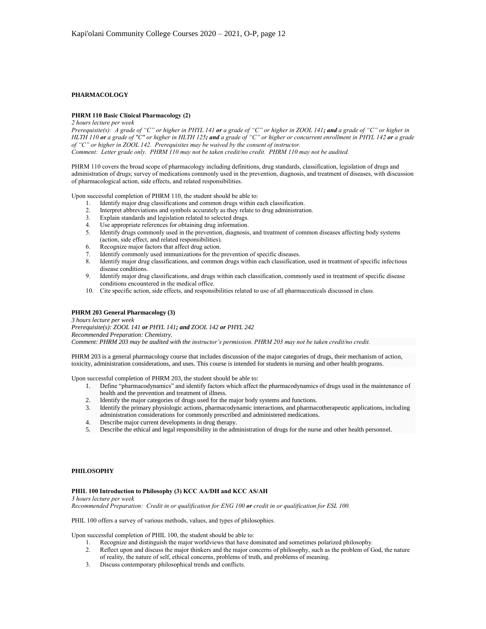## **PHARMACOLOGY**

### **PHRM 110 Basic Clinical Pharmacology (2)**

*2 hours lecture per week*

*Prerequisite(s): A grade of "C" or higher in PHYL 141 or a grade of "C" or higher in ZOOL 141; and a grade of "C" or higher in HLTH 110 or a grade of "C" or higher in HLTH 125; and a grade of "C" or higher or concurrent enrollment in PHYL 142 or a grade of "C" or higher in ZOOL 142. Prerequisites may be waived by the consent of instructor. Comment: Letter grade only. PHRM 110 may not be taken credit/no credit. PHRM 110 may not be audited.*

PHRM 110 covers the broad scope of pharmacology including definitions, drug standards, classification, legislation of drugs and administration of drugs; survey of medications commonly used in the prevention, diagnosis, and treatment of diseases, with discussion of pharmacological action, side effects, and related responsibilities.

Upon successful completion of PHRM 110, the student should be able to:

- 1. Identify major drug classifications and common drugs within each classification.
- 2. Interpret abbreviations and symbols accurately as they relate to drug administration.
- 3. Explain standards and legislation related to selected drugs.
- 4. Use appropriate references for obtaining drug information.
- 5. Identify drugs commonly used in the prevention, diagnosis, and treatment of common diseases affecting body systems (action, side effect, and related responsibilities).
- 6. Recognize major factors that affect drug action.
- 7. Identify commonly used immunizations for the prevention of specific diseases.
- 8. Identify major drug classifications, and common drugs within each classification, used in treatment of specific infectious disease conditions.
- 9. Identify major drug classifications, and drugs within each classification, commonly used in treatment of specific disease conditions encountered in the medical office.
- 10. Cite specific action, side effects, and responsibilities related to use of all pharmaceuticals discussed in class.

## **PHRM 203 General Pharmacology (3)**

*3 hours lecture per week Prerequisite(s): ZOOL 141 or PHYL 141; and ZOOL 142 or PHYL 242 Recommended Preparation: Chemistry. Comment: PHRM 203 may be audited with the instructor's permission. PHRM 203 may not be taken credit/no credit.*

PHRM 203 is a general pharmacology course that includes discussion of the major categories of drugs, their mechanism of action, toxicity, administration considerations, and uses. This course is intended for students in nursing and other health programs.

Upon successful completion of PHRM 203, the student should be able to:

- 1. Define "pharmacodynamics" and identify factors which affect the pharmacodynamics of drugs used in the maintenance of health and the prevention and treatment of illness.
- 2. Identify the major categories of drugs used for the major body systems and functions.
- 3. Identify the primary physiologic actions, pharmacodynamic interactions, and pharmacotherapeutic applications, including administration considerations for commonly prescribed and administered medications.
- 4. Describe major current developments in drug therapy.
- 5. Describe the ethical and legal responsibility in the administration of drugs for the nurse and other health personnel.

## **PHILOSOPHY**

#### **PHIL 100 Introduction to Philosophy (3) KCC AA/DH and KCC AS/AH**

*3 hours lecture per week*

*Recommended Preparation: Credit in or qualification for ENG 100 or credit in or qualification for ESL 100.*

PHIL 100 offers a survey of various methods, values, and types of philosophies.

Upon successful completion of PHIL 100, the student should be able to:

- 1. Recognize and distinguish the major worldviews that have dominated and sometimes polarized philosophy.
- 2. Reflect upon and discuss the major thinkers and the major concerns of philosophy, such as the problem of God, the nature of reality, the nature of self, ethical concerns, problems of truth, and problems of meaning.
- 3. Discuss contemporary philosophical trends and conflicts.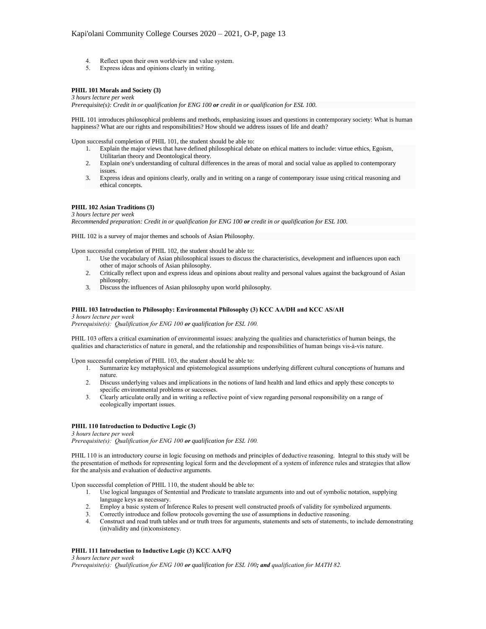- 4. Reflect upon their own worldview and value system.
- 5. Express ideas and opinions clearly in writing.

## **PHIL 101 Morals and Society (3)**

*3 hours lecture per week*

*Prerequisite(s): Credit in or qualification for ENG 100 or credit in or qualification for ESL 100.*

PHIL 101 introduces philosophical problems and methods, emphasizing issues and questions in contemporary society: What is human happiness? What are our rights and responsibilities? How should we address issues of life and death?

Upon successful completion of PHIL 101, the student should be able to:

- 1. Explain the major views that have defined philosophical debate on ethical matters to include: virtue ethics, Egoism, Utilitarian theory and Deontological theory.
- 2. Explain one's understanding of cultural differences in the areas of moral and social value as applied to contemporary issues.
- 3. Express ideas and opinions clearly, orally and in writing on a range of contemporary issue using critical reasoning and ethical concepts.

## **PHIL 102 Asian Traditions (3)**

*3 hours lecture per week Recommended preparation: Credit in or qualification for ENG 100 or credit in or qualification for ESL 100.*

PHIL 102 is a survey of major themes and schools of Asian Philosophy.

Upon successful completion of PHIL 102, the student should be able to:

- 1. Use the vocabulary of Asian philosophical issues to discuss the characteristics, development and influences upon each other of major schools of Asian philosophy.
- 2. Critically reflect upon and express ideas and opinions about reality and personal values against the background of Asian philosophy.
- 3. Discuss the influences of Asian philosophy upon world philosophy.

### **PHIL 103 Introduction to Philosophy: Environmental Philosophy (3) KCC AA/DH and KCC AS/AH**

*3 hours lecture per week*

*Prerequisite(s): Qualification for ENG 100 or qualification for ESL 100.*

PHIL 103 offers a critical examination of environmental issues: analyzing the qualities and characteristics of human beings, the qualities and characteristics of nature in general, and the relationship and responsibilities of human beings vis-à-vis nature.

Upon successful completion of PHIL 103, the student should be able to:

- 1. Summarize key metaphysical and epistemological assumptions underlying different cultural conceptions of humans and nature.
- 2. Discuss underlying values and implications in the notions of land health and land ethics and apply these concepts to specific environmental problems or successes.
- 3. Clearly articulate orally and in writing a reflective point of view regarding personal responsibility on a range of ecologically important issues.

## **PHIL 110 Introduction to Deductive Logic (3)**

*3 hours lecture per week Prerequisite(s): Qualification for ENG 100 or qualification for ESL 100.*

PHIL 110 is an introductory course in logic focusing on methods and principles of deductive reasoning. Integral to this study will be the presentation of methods for representing logical form and the development of a system of inference rules and strategies that allow for the analysis and evaluation of deductive arguments.

Upon successful completion of PHIL 110, the student should be able to:

- 1. Use logical languages of Sentential and Predicate to translate arguments into and out of symbolic notation, supplying language keys as necessary.
- 2. Employ a basic system of Inference Rules to present well constructed proofs of validity for symbolized arguments.
- 3. Correctly introduce and follow protocols governing the use of assumptions in deductive reasoning.
- 4. Construct and read truth tables and or truth trees for arguments, statements and sets of statements, to include demonstrating (in)validity and (in)consistency.

### **PHIL 111 Introduction to Inductive Logic (3) KCC AA/FQ**

*3 hours lecture per week Prerequisite(s): Qualification for ENG 100 or qualification for ESL 100; and qualification for MATH 82.*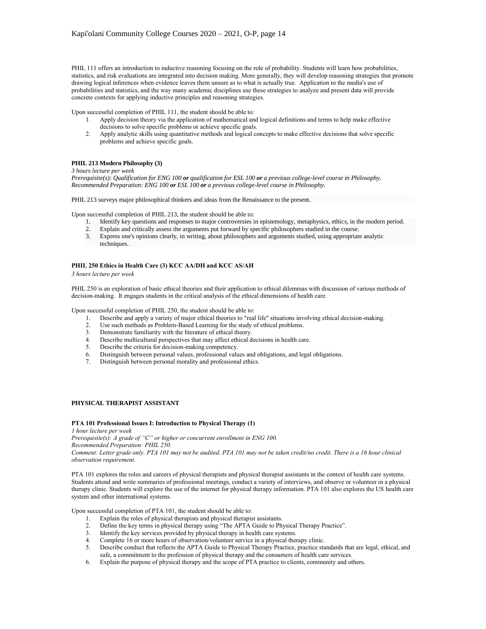PHIL 111 offers an introduction to inductive reasoning focusing on the role of probability. Students will learn how probabilities, statistics, and risk evaluations are integrated into decision making. More generally, they will develop reasoning strategies that promote drawing logical inferences when evidence leaves them unsure as to what is actually true. Application to the media's use of probabilities and statistics, and the way many academic disciplines use these strategies to analyze and present data will provide concrete contexts for applying inductive principles and reasoning strategies.

Upon successful completion of PHIL 111, the student should be able to:

- 1. Apply decision theory via the application of mathematical and logical definitions and terms to help make effective decisions to solve specific problems or achieve specific goals.
- 2. Apply analytic skills using quantitative methods and logical concepts to make effective decisions that solve specific problems and achieve specific goals.

## **PHIL 213 Modern Philosophy (3)**

#### *3 hours lecture per week*

*Prerequisite(s): Qualification for ENG 100 or qualification for ESL 100 or a previous college-level course in Philosophy. Recommended Preparation: ENG 100 or ESL 100 or a previous college-level course in Philosophy.*

PHIL 213 surveys major philosophical thinkers and ideas from the Renaissance to the present.

Upon successful completion of PHIL 213, the student should be able to:

- 1. Identify key questions and responses to major controversies in epistemology, metaphysics, ethics, in the modern period.
- 2. Explain and critically assess the arguments put forward by specific philosophers studied in the course.
- 3. Express one's opinions clearly, in writing, about philosophers and arguments studied, using appropriate analytic techniques.

## **PHIL 250 Ethics in Health Care (3) KCC AA/DH and KCC AS/AH**

*3 hours lecture per week*

PHIL 250 is an exploration of basic ethical theories and their application to ethical dilemmas with discussion of various methods of decision-making. It engages students in the critical analysis of the ethical dimensions of health care.

Upon successful completion of PHIL 250, the student should be able to:

- 1. Describe and apply a variety of major ethical theories to "real life" situations involving ethical decision-making.
- 2. Use such methods as Problem-Based Learning for the study of ethical problems.
- 3. Demonstrate familiarity with the literature of ethical theory.
- 4. Describe multicultural perspectives that may affect ethical decisions in health care.
- 5. Describe the criteria for decision-making competency.
- 6. Distinguish between personal values, professional values and obligations, and legal obligations.
- 7. Distinguish between personal morality and professional ethics.

# **PHYSICAL THERAPIST ASSISTANT**

### **PTA 101 Professional Issues I: Introduction to Physical Therapy (1)**

*1 hour lecture per week*

*Prerequisite(s): A grade of "C" or higher or concurrent enrollment in ENG 100. Recommended Preparation: PHIL 250.*

*Comment: Letter grade only. PTA 101 may not be audited. PTA 101 may not be taken credit/no credit. There is a 16 hour clinical observation requirement.*

PTA 101 explores the roles and careers of physical therapists and physical therapist assistants in the context of health care systems. Students attend and write summaries of professional meetings, conduct a variety of interviews, and observe or volunteer in a physical therapy clinic. Students will explore the use of the internet for physical therapy information. PTA 101 also explores the US health care system and other international systems.

Upon successful completion of PTA 101, the student should be able to:

- 
- 1. Explain the roles of physical therapists and physical therapist assistants.<br>2. Define the kev terms in physical therapy using "The APTA Guide to Physical 2. Define the key terms in physical therapy using "The APTA Guide to Physical Therapy Practice".<br>3. Identify the key services provided by physical therapy in health care systems.
- Identify the key services provided by physical therapy in health care systems.
- 4. Complete 16 or more hours of observation/volunteer service in a physical therapy clinic.
- 5. Describe conduct that reflects the APTA Guide to Physical Therapy Practice, practice standards that are legal, ethical, and safe, a commitment to the profession of physical therapy and the consumers of health care services.
- 6. Explain the purpose of physical therapy and the scope of PTA practice to clients, community and others.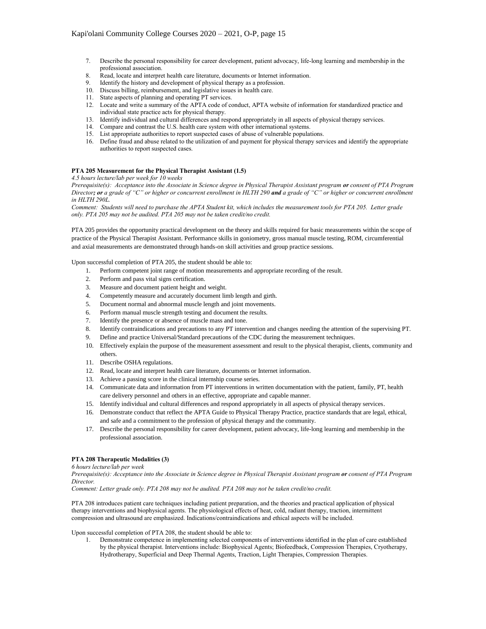- 7. Describe the personal responsibility for career development, patient advocacy, life-long learning and membership in the professional association.
- 8. Read, locate and interpret health care literature, documents or Internet information.<br>9. Identify the history and development of physical therapy as a profession
- Identify the history and development of physical therapy as a profession.
- 10. Discuss billing, reimbursement, and legislative issues in health care.
- 11. State aspects of planning and operating PT services.
- 12. Locate and write a summary of the APTA code of conduct, APTA website of information for standardized practice and individual state practice acts for physical therapy.
- 13. Identify individual and cultural differences and respond appropriately in all aspects of physical therapy services.
- 14. Compare and contrast the U.S. health care system with other international systems.
- 15. List appropriate authorities to report suspected cases of abuse of vulnerable populations.
- 16. Define fraud and abuse related to the utilization of and payment for physical therapy services and identify the appropriate authorities to report suspected cases.

## **PTA 205 Measurement for the Physical Therapist Assistant (1.5)**

*4.5 hours lecture/lab per week for 10 weeks*

*Prerequisite(s): Acceptance into the Associate in Science degree in Physical Therapist Assistant program or consent of PTA Program Director; or a grade of "C" or higher or concurrent enrollment in HLTH 290 and a grade of "C" or higher or concurrent enrollment in HLTH 290L.*

*Comment: Students will need to purchase the APTA Student kit, which includes the measurement tools for PTA 205. Letter grade only. PTA 205 may not be audited. PTA 205 may not be taken credit/no credit.*

PTA 205 provides the opportunity practical development on the theory and skills required for basic measurements within the scope of practice of the Physical Therapist Assistant. Performance skills in goniometry, gross manual muscle testing, ROM, circumferential and axial measurements are demonstrated through hands-on skill activities and group practice sessions.

Upon successful completion of PTA 205, the student should be able to:

- 1. Perform competent joint range of motion measurements and appropriate recording of the result.
- 2. Perform and pass vital signs certification.
- 3. Measure and document patient height and weight.
- 4. Competently measure and accurately document limb length and girth.
- 5. Document normal and abnormal muscle length and joint movements.
- 6. Perform manual muscle strength testing and document the results.
- 7. Identify the presence or absence of muscle mass and tone.
- 8. Identify contraindications and precautions to any PT intervention and changes needing the attention of the supervising PT.
- 9. Define and practice Universal/Standard precautions of the CDC during the measurement techniques.
- 10. Effectively explain the purpose of the measurement assessment and result to the physical therapist, clients, community and others.
- 11. Describe OSHA regulations.
- 12. Read, locate and interpret health care literature, documents or Internet information.
- 13. Achieve a passing score in the clinical internship course series.
- 14. Communicate data and information from PT interventions in written documentation with the patient, family, PT, health care delivery personnel and others in an effective, appropriate and capable manner.
- 15. Identify individual and cultural differences and respond appropriately in all aspects of physical therapy services.
- 16. Demonstrate conduct that reflect the APTA Guide to Physical Therapy Practice, practice standards that are legal, ethical, and safe and a commitment to the profession of physical therapy and the community.
- 17. Describe the personal responsibility for career development, patient advocacy, life-long learning and membership in the professional association.

## **PTA 208 Therapeutic Modalities (3)**

*6 hours lecture/lab per week*

*Prerequisite(s): Acceptance into the Associate in Science degree in Physical Therapist Assistant program or consent of PTA Program Director.*

*Comment: Letter grade only. PTA 208 may not be audited. PTA 208 may not be taken credit/no credit.*

PTA 208 introduces patient care techniques including patient preparation, and the theories and practical application of physical therapy interventions and biophysical agents. The physiological effects of heat, cold, radiant therapy, traction, intermittent compression and ultrasound are emphasized. Indications/contraindications and ethical aspects will be included.

Upon successful completion of PTA 208, the student should be able to:

1. Demonstrate competence in implementing selected components of interventions identified in the plan of care established by the physical therapist. Interventions include: Biophysical Agents; Biofeedback, Compression Therapies, Cryotherapy, Hydrotherapy, Superficial and Deep Thermal Agents, Traction, Light Therapies, Compression Therapies.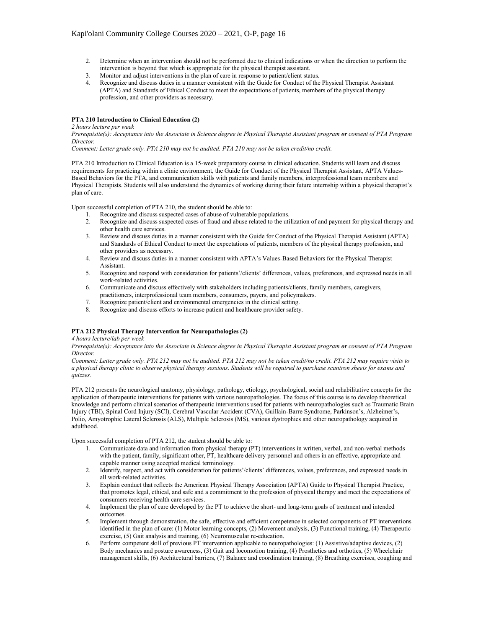- 2. Determine when an intervention should not be performed due to clinical indications or when the direction to perform the intervention is beyond that which is appropriate for the physical therapist assistant.
- 
- 3. Monitor and adjust interventions in the plan of care in response to patient/client status.<br>4. Recognize and discuss duties in a manner consistent with the Guide for Conduct of the Recognize and discuss duties in a manner consistent with the Guide for Conduct of the Physical Therapist Assistant (APTA) and Standards of Ethical Conduct to meet the expectations of patients, members of the physical therapy profession, and other providers as necessary.

### **PTA 210 Introduction to Clinical Education (2)**

#### *2 hours lecture per week*

*Prerequisite(s): Acceptance into the Associate in Science degree in Physical Therapist Assistant program or consent of PTA Program Director.*

*Comment: Letter grade only. PTA 210 may not be audited. PTA 210 may not be taken credit/no credit.*

PTA 210 Introduction to Clinical Education is a 15-week preparatory course in clinical education. Students will learn and discuss requirements for practicing within a clinic environment, the Guide for Conduct of the Physical Therapist Assistant, APTA Values-Based Behaviors for the PTA, and communication skills with patients and family members, interprofessional team members and Physical Therapists. Students will also understand the dynamics of working during their future internship within a physical therapist's plan of care.

Upon successful completion of PTA 210, the student should be able to:

- 1. Recognize and discuss suspected cases of abuse of vulnerable populations.
- 2. Recognize and discuss suspected cases of fraud and abuse related to the utilization of and payment for physical therapy and other health care services.
- 3. Review and discuss duties in a manner consistent with the Guide for Conduct of the Physical Therapist Assistant (APTA) and Standards of Ethical Conduct to meet the expectations of patients, members of the physical therapy profession, and other providers as necessary.
- 4. Review and discuss duties in a manner consistent with APTA's Values-Based Behaviors for the Physical Therapist Assistant.
- 5. Recognize and respond with consideration for patients'/clients' differences, values, preferences, and expressed needs in all work-related activities.
- 6. Communicate and discuss effectively with stakeholders including patients/clients, family members, caregivers, practitioners, interprofessional team members, consumers, payers, and policymakers.
- 
- 7. Recognize patient/client and environmental emergencies in the clinical setting.<br>8. Recognize and discuss efforts to increase patient and healthcare provider safety Recognize and discuss efforts to increase patient and healthcare provider safety.

## **PTA 212 Physical Therapy Intervention for Neuropathologies (2)**

#### *4 hours lecture/lab per week*

*Prerequisite(s): Acceptance into the Associate in Science degree in Physical Therapist Assistant program or consent of PTA Program Director.*

*Comment: Letter grade only. PTA 212 may not be audited. PTA 212 may not be taken credit/no credit. PTA 212 may require visits to a physical therapy clinic to observe physical therapy sessions. Students will be required to purchase scantron sheets for exams and quizzes.*

PTA 212 presents the neurological anatomy, physiology, pathology, etiology, psychological, social and rehabilitative concepts for the application of therapeutic interventions for patients with various neuropathologies. The focus of this course is to develop theoretical knowledge and perform clinical scenarios of therapeutic interventions used for patients with neuropathologies such as Traumatic Brain Injury (TBI), Spinal Cord Injury (SCI), Cerebral Vascular Accident (CVA), Guillain-Barre Syndrome, Parkinson's, Alzheimer's, Polio, Amyotrophic Lateral Sclerosis (ALS), Multiple Sclerosis (MS), various dystrophies and other neuropathology acquired in adulthood.

Upon successful completion of PTA 212, the student should be able to:

- 1. Communicate data and information from physical therapy (PT) interventions in written, verbal, and non-verbal methods with the patient, family, significant other, PT, healthcare delivery personnel and others in an effective, appropriate and capable manner using accepted medical terminology.
- 2. Identify, respect, and act with consideration for patients'/clients' differences, values, preferences, and expressed needs in all work-related activities.
- 3. Explain conduct that reflects the American Physical Therapy Association (APTA) Guide to Physical Therapist Practice, that promotes legal, ethical, and safe and a commitment to the profession of physical therapy and meet the expectations of consumers receiving health care services.
- 4. Implement the plan of care developed by the PT to achieve the short- and long-term goals of treatment and intended outcomes.
- 5. Implement through demonstration, the safe, effective and efficient competence in selected components of PT interventions identified in the plan of care: (1) Motor learning concepts, (2) Movement analysis, (3) Functional training, (4) Therapeutic exercise, (5) Gait analysis and training, (6) Neuromuscular re-education.
- 6. Perform competent skill of previous PT intervention applicable to neuropathologies: (1) Assistive/adaptive devices, (2) Body mechanics and posture awareness, (3) Gait and locomotion training, (4) Prosthetics and orthotics, (5) Wheelchair management skills, (6) Architectural barriers, (7) Balance and coordination training, (8) Breathing exercises, coughing and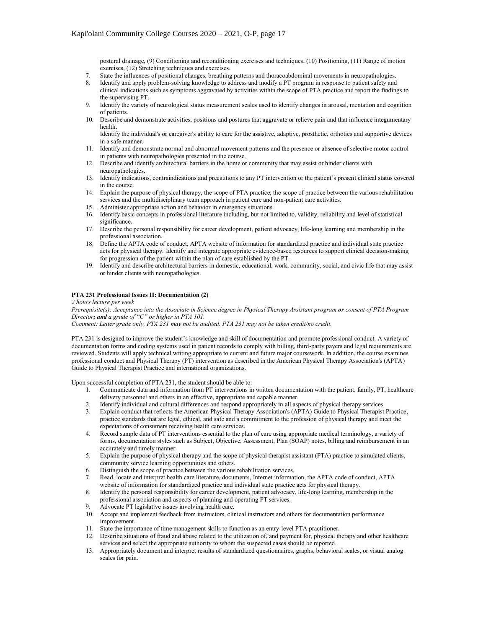postural drainage, (9) Conditioning and reconditioning exercises and techniques, (10) Positioning, (11) Range of motion exercises, (12) Stretching techniques and exercises.

- 7. State the influences of positional changes, breathing patterns and thoracoabdominal movements in neuropathologies.<br>8. Identify and apply problem-solving knowledge to address and modify a PT program in response to patien
- Identify and apply problem-solving knowledge to address and modify a PT program in response to patient safety and clinical indications such as symptoms aggravated by activities within the scope of PTA practice and report the findings to
- the supervising PT. 9. Identify the variety of neurological status measurement scales used to identify changes in arousal, mentation and cognition of patients.
- 10. Describe and demonstrate activities, positions and postures that aggravate or relieve pain and that influence integumentary health.

Identify the individual's or caregiver's ability to care for the assistive, adaptive, prosthetic, orthotics and supportive devices in a safe manner.

- 11. Identify and demonstrate normal and abnormal movement patterns and the presence or absence of selective motor control in patients with neuropathologies presented in the course.
- 12. Describe and identify architectural barriers in the home or community that may assist or hinder clients with neuropathologies.
- 13. Identify indications, contraindications and precautions to any PT intervention or the patient's present clinical status covered in the course.
- 14. Explain the purpose of physical therapy, the scope of PTA practice, the scope of practice between the various rehabilitation services and the multidisciplinary team approach in patient care and non-patient care activities.
- 15. Administer appropriate action and behavior in emergency situations.
- 16. Identify basic concepts in professional literature including, but not limited to, validity, reliability and level of statistical significance.
- 17. Describe the personal responsibility for career development, patient advocacy, life-long learning and membership in the professional association.
- 18. Define the APTA code of conduct, APTA website of information for standardized practice and individual state practice acts for physical therapy. Identify and integrate appropriate evidence-based resources to support clinical decision-making for progression of the patient within the plan of care established by the PT.
- 19. Identify and describe architectural barriers in domestic, educational, work, community, social, and civic life that may assist or hinder clients with neuropathologies.

## **PTA 231 Professional Issues II: Documentation (2)**

*2 hours lecture per week*

*Prerequisite(s): Acceptance into the Associate in Science degree in Physical Therapy Assistant program or consent of PTA Program Director; and a grade of "C" or higher in PTA 101.*

*Comment: Letter grade only. PTA 231 may not be audited. PTA 231 may not be taken credit/no credit.*

PTA 231 is designed to improve the student's knowledge and skill of documentation and promote professional conduct. A variety of documentation forms and coding systems used in patient records to comply with billing, third-party payers and legal requirements are reviewed. Students will apply technical writing appropriate to current and future major coursework. In addition, the course examines professional conduct and Physical Therapy (PT) intervention as described in the American Physical Therapy Association's (APTA) Guide to Physical Therapist Practice and international organizations.

Upon successful completion of PTA 231, the student should be able to:

- 1. Communicate data and information from PT interventions in written documentation with the patient, family, PT, healthcare delivery personnel and others in an effective, appropriate and capable manner.
- 2. Identify individual and cultural differences and respond appropriately in all aspects of physical therapy services.
- 3. Explain conduct that reflects the American Physical Therapy Association's (APTA) Guide to Physical Therapist Practice, practice standards that are legal, ethical, and safe and a commitment to the profession of physical therapy and meet the expectations of consumers receiving health care services.
- 4. Record sample data of PT interventions essential to the plan of care using appropriate medical terminology, a variety of forms, documentation styles such as Subject, Objective, Assessment, Plan (SOAP) notes, billing and reimbursement in an accurately and timely manner.
- 5. Explain the purpose of physical therapy and the scope of physical therapist assistant (PTA) practice to simulated clients, community service learning opportunities and others.
- 6. Distinguish the scope of practice between the various rehabilitation services.
- 7. Read, locate and interpret health care literature, documents, Internet information, the APTA code of conduct, APTA website of information for standardized practice and individual state practice acts for physical therapy.
- 8. Identify the personal responsibility for career development, patient advocacy, life-long learning, membership in the professional association and aspects of planning and operating PT services.
- 9. Advocate PT legislative issues involving health care.
- 10. Accept and implement feedback from instructors, clinical instructors and others for documentation performance improvement.
- 11. State the importance of time management skills to function as an entry-level PTA practitioner.
- 12. Describe situations of fraud and abuse related to the utilization of, and payment for, physical therapy and other healthcare services and select the appropriate authority to whom the suspected cases should be reported.
- 13. Appropriately document and interpret results of standardized questionnaires, graphs, behavioral scales, or visual analog scales for pain.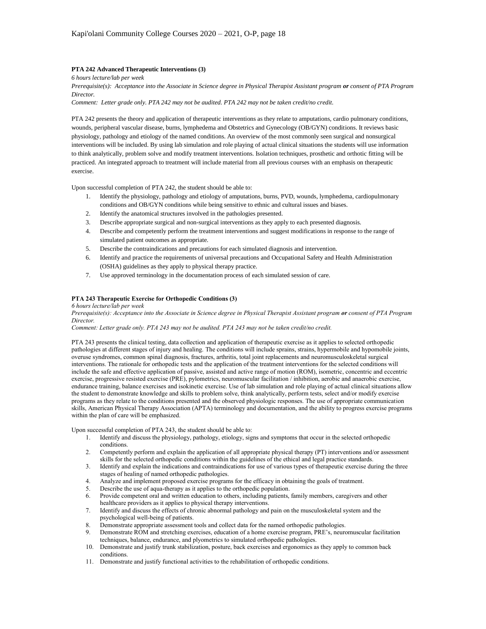## **PTA 242 Advanced Therapeutic Interventions (3)**

*6 hours lecture/lab per week*

*Prerequisite(s): Acceptance into the Associate in Science degree in Physical Therapist Assistant program or consent of PTA Program Director.*

*Comment: Letter grade only. PTA 242 may not be audited. PTA 242 may not be taken credit/no credit.* 

PTA 242 presents the theory and application of therapeutic interventions as they relate to amputations, cardio pulmonary conditions, wounds, peripheral vascular disease, burns, lymphedema and Obstetrics and Gynecology (OB/GYN) conditions. It reviews basic physiology, pathology and etiology of the named conditions. An overview of the most commonly seen surgical and nonsurgical interventions will be included. By using lab simulation and role playing of actual clinical situations the students will use information to think analytically, problem solve and modify treatment interventions. Isolation techniques, prosthetic and orthotic fitting will be practiced. An integrated approach to treatment will include material from all previous courses with an emphasis on therapeutic exercise.

Upon successful completion of PTA 242, the student should be able to:

- 1. Identify the physiology, pathology and etiology of amputations, burns, PVD, wounds, lymphedema, cardiopulmonary conditions and OB/GYN conditions while being sensitive to ethnic and cultural issues and biases.
- 2. Identify the anatomical structures involved in the pathologies presented.
- 3. Describe appropriate surgical and non-surgical interventions as they apply to each presented diagnosis.
- 4. Describe and competently perform the treatment interventions and suggest modifications in response to the range of simulated patient outcomes as appropriate.
- 5. Describe the contraindications and precautions for each simulated diagnosis and intervention.
- 6. Identify and practice the requirements of universal precautions and Occupational Safety and Health Administration (OSHA) guidelines as they apply to physical therapy practice.
- 7. Use approved terminology in the documentation process of each simulated session of care.

#### **PTA 243 Therapeutic Exercise for Orthopedic Conditions (3)**

*6 hours lecture/lab per week*

*Prerequisite(s): Acceptance into the Associate in Science degree in Physical Therapist Assistant program or consent of PTA Program Director.*

*Comment: Letter grade only. PTA 243 may not be audited. PTA 243 may not be taken credit/no credit.*

PTA 243 presents the clinical testing, data collection and application of therapeutic exercise as it applies to selected orthopedic pathologies at different stages of injury and healing. The conditions will include sprains, strains, hypermobile and hypomobile joints, overuse syndromes, common spinal diagnosis, fractures, arthritis, total joint replacements and neuromusculoskeletal surgical interventions. The rationale for orthopedic tests and the application of the treatment interventions for the selected conditions will include the safe and effective application of passive, assisted and active range of motion (ROM), isometric, concentric and eccentric exercise, progressive resisted exercise (PRE), pylometrics, neuromuscular facilitation / inhibition, aerobic and anaerobic exercise, endurance training, balance exercises and isokinetic exercise. Use of lab simulation and role playing of actual clinical situations allow the student to demonstrate knowledge and skills to problem solve, think analytically, perform tests, select and/or modify exercise programs as they relate to the conditions presented and the observed physiologic responses. The use of appropriate communication skills, American Physical Therapy Association (APTA) terminology and documentation, and the ability to progress exercise programs within the plan of care will be emphasized.

Upon successful completion of PTA 243, the student should be able to:

- 1. Identify and discuss the physiology, pathology, etiology, signs and symptoms that occur in the selected orthopedic conditions.
- 2. Competently perform and explain the application of all appropriate physical therapy (PT) interventions and/or assessment skills for the selected orthopedic conditions within the guidelines of the ethical and legal practice standards.
- 3. Identify and explain the indications and contraindications for use of various types of therapeutic exercise during the three stages of healing of named orthopedic pathologies.
- 4. Analyze and implement proposed exercise programs for the efficacy in obtaining the goals of treatment.
- 5. Describe the use of aqua-therapy as it applies to the orthopedic population.
- 6. Provide competent oral and written education to others, including patients, family members, caregivers and other healthcare providers as it applies to physical therapy interventions.
- 7. Identify and discuss the effects of chronic abnormal pathology and pain on the musculoskeletal system and the psychological well-being of patients.
- 8. Demonstrate appropriate assessment tools and collect data for the named orthopedic pathologies.<br>9. Demonstrate ROM and stretching exercises, education of a home exercise program. PRE's. neuro
- 9. Demonstrate ROM and stretching exercises, education of a home exercise program, PRE's, neuromuscular facilitation techniques, balance, endurance, and plyometrics to simulated orthopedic pathologies.
- 10. Demonstrate and justify trunk stabilization, posture, back exercises and ergonomics as they apply to common back conditions.
- 11. Demonstrate and justify functional activities to the rehabilitation of orthopedic conditions.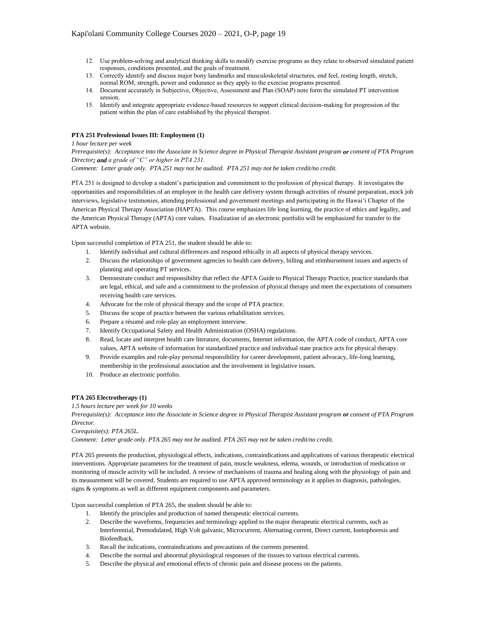- 12. Use problem-solving and analytical thinking skills to modify exercise programs as they relate to observed simulated patient responses, conditions presented, and the goals of treatment.
- 13. Correctly identify and discuss major bony landmarks and musculoskeletal structures, end feel, resting length, stretch, normal ROM, strength, power and endurance as they apply to the exercise programs presented.
- 14. Document accurately in Subjective, Objective, Assessment and Plan (SOAP) note form the simulated PT intervention session.
- 15. Identify and integrate appropriate evidence-based resources to support clinical decision-making for progression of the patient within the plan of care established by the physical therapist.

## **PTA 251 Professional Issues III: Employment (1)**

*1 hour lecture per week* 

*Prerequisite(s): Acceptance into the Associate in Science degree in Physical Therapist Assistant program or consent of PTA Program Director; and a grade of "C" or higher in PTA 231.*

*Comment: Letter grade only. PTA 251 may not be audited. PTA 251 may not be taken credit/no credit.*

PTA 251 is designed to develop a student's participation and commitment to the profession of physical therapy. It investigates the opportunities and responsibilities of an employee in the health care delivery system through activities of résumé preparation, mock job interviews, legislative testimonies, attending professional and government meetings and participating in the Hawai'i Chapter of the American Physical Therapy Association (HAPTA). This course emphasizes life long learning, the practice of ethics and legality, and the American Physical Therapy (APTA) core values. Finalization of an electronic portfolio will be emphasized for transfer to the APTA website.

Upon successful completion of PTA 251, the student should be able to:

- 1. Identify individual and cultural differences and respond ethically in all aspects of physical therapy services.
- 2. Discuss the relationships of government agencies to health care delivery, billing and reimbursement issues and aspects of planning and operating PT services.
- 3. Demonstrate conduct and responsibility that reflect the APTA Guide to Physical Therapy Practice, practice standards that are legal, ethical, and safe and a commitment to the profession of physical therapy and meet the expectations of consumers receiving health care services.
- 4. Advocate for the role of physical therapy and the scope of PTA practice.
- 5. Discuss the scope of practice between the various rehabilitation services.
- 6. Prepare a résumé and role-play an employment interview.
- 7. Identify Occupational Safety and Health Administration (OSHA) regulations.
- 8. Read, locate and interpret health care literature, documents, Internet information, the APTA code of conduct, APTA core values, APTA website of information for standardized practice and individual state practice acts for physical therapy.
- 9. Provide examples and role-play personal responsibility for career development, patient advocacy, life-long learning, membership in the professional association and the involvement in legislative issues.
- 10. Produce an electronic portfolio.

### **PTA 265 Electrotherapy (1)**

#### *1.5 hours lecture per week for 10 weeks*

*Prerequisite(s): Acceptance into the Associate in Science degree in Physical Therapist Assistant program or consent of PTA Program Director.*

*Corequisite(s): PTA 265L.*

*Comment: Letter grade only. PTA 265 may not be audited. PTA 265 may not be taken credit/no credit.*

PTA 265 presents the production, physiological effects, indications, contraindications and applications of various therapeutic electrical interventions. Appropriate parameters for the treatment of pain, muscle weakness, edema, wounds, or introduction of medication or monitoring of muscle activity will be included. A review of mechanisms of trauma and healing along with the physiology of pain and its measurement will be covered. Students are required to use APTA approved terminology as it applies to diagnosis, pathologies, signs & symptoms as well as different equipment components and parameters.

Upon successful completion of PTA 265, the student should be able to:

- 1. Identify the principles and production of named therapeutic electrical currents.
- 2. Describe the waveforms, frequencies and terminology applied to the major therapeutic electrical currents, such as Interferential, Premodulated, High Volt galvanic, Microcurrent, Alternating current, Direct current, Iontophoresis and Biofeedback.
- 3. Recall the indications, contraindications and precautions of the currents presented.
- 4. Describe the normal and abnormal physiological responses of the tissues to various electrical currents.
- 5. Describe the physical and emotional effects of chronic pain and disease process on the patients.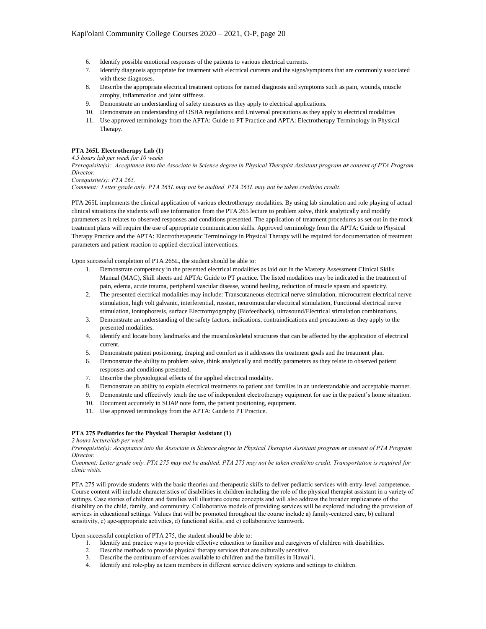- 6. Identify possible emotional responses of the patients to various electrical currents.
- 7. Identify diagnosis appropriate for treatment with electrical currents and the signs/symptoms that are commonly associated with these diagnoses.
- 8. Describe the appropriate electrical treatment options for named diagnosis and symptoms such as pain, wounds, muscle atrophy, inflammation and joint stiffness.
- 9. Demonstrate an understanding of safety measures as they apply to electrical applications.
- 10. Demonstrate an understanding of OSHA regulations and Universal precautions as they apply to electrical modalities
- 11. Use approved terminology from the APTA: Guide to PT Practice and APTA: Electrotherapy Terminology in Physical Therapy.

# **PTA 265L Electrotherapy Lab (1)**

## *4.5 hours lab per week for 10 weeks*

*Prerequisite(s): Acceptance into the Associate in Science degree in Physical Therapist Assistant program or consent of PTA Program Director.*

*Corequisite(s): PTA 265.*

*Comment: Letter grade only. PTA 265L may not be audited. PTA 265L may not be taken credit/no credit.*

PTA 265L implements the clinical application of various electrotherapy modalities. By using lab simulation and role playing of actual clinical situations the students will use information from the PTA 265 lecture to problem solve, think analytically and modify parameters as it relates to observed responses and conditions presented. The application of treatment procedures as set out in the mock treatment plans will require the use of appropriate communication skills. Approved terminology from the APTA: Guide to Physical Therapy Practice and the APTA: Electrotherapeutic Terminology in Physical Therapy will be required for documentation of treatment parameters and patient reaction to applied electrical interventions.

Upon successful completion of PTA 265L, the student should be able to:

- 1. Demonstrate competency in the presented electrical modalities as laid out in the Mastery Assessment Clinical Skills Manual (MAC), Skill sheets and APTA: Guide to PT practice. The listed modalities may be indicated in the treatment of pain, edema, acute trauma, peripheral vascular disease, wound healing, reduction of muscle spasm and spasticity.
- 2. The presented electrical modalities may include: Transcutaneous electrical nerve stimulation, microcurrent electrical nerve stimulation, high volt galvanic, interferential, russian, neuromuscular electrical stimulation, Functional electrical nerve stimulation, iontophoresis, surface Electromyography (Biofeedback), ultrasound/Electrical stimulation combinations.
- 3. Demonstrate an understanding of the safety factors, indications, contraindications and precautions as they apply to the presented modalities.
- 4. Identify and locate bony landmarks and the musculoskeletal structures that can be affected by the application of electrical current.
- 5. Demonstrate patient positioning, draping and comfort as it addresses the treatment goals and the treatment plan.
- 6. Demonstrate the ability to problem solve, think analytically and modify parameters as they relate to observed patient responses and conditions presented.
- 7. Describe the physiological effects of the applied electrical modality.
- 8. Demonstrate an ability to explain electrical treatments to patient and families in an understandable and acceptable manner.
- 9. Demonstrate and effectively teach the use of independent electrotherapy equipment for use in the patient's home situation.
- 10. Document accurately in SOAP note form, the patient positioning, equipment.
- 11. Use approved terminology from the APTA: Guide to PT Practice.

#### **PTA 275 Pediatrics for the Physical Therapist Assistant (1)**

*2 hours lecture/lab per week*

*Prerequisite(s): Acceptance into the Associate in Science degree in Physical Therapist Assistant program or consent of PTA Program Director.*

*Comment: Letter grade only. PTA 275 may not be audited. PTA 275 may not be taken credit/no credit. Transportation is required for clinic visits.*

PTA 275 will provide students with the basic theories and therapeutic skills to deliver pediatric services with entry-level competence. Course content will include characteristics of disabilities in children including the role of the physical therapist assistant in a variety of settings. Case stories of children and families will illustrate course concepts and will also address the broader implications of the disability on the child, family, and community. Collaborative models of providing services will be explored including the provision of services in educational settings. Values that will be promoted throughout the course include a) family-centered care, b) cultural sensitivity, c) age-appropriate activities, d) functional skills, and e) collaborative teamwork.

Upon successful completion of PTA 275, the student should be able to:

- 1. Identify and practice ways to provide effective education to families and caregivers of children with disabilities.<br>2. Describe methods to provide physical therapy services that are culturally sensitive.
- 2. Describe methods to provide physical therapy services that are culturally sensitive.
- 3. Describe the continuum of services available to children and the families in Hawai'i.
- 4. Identify and role-play as team members in different service delivery systems and settings to children.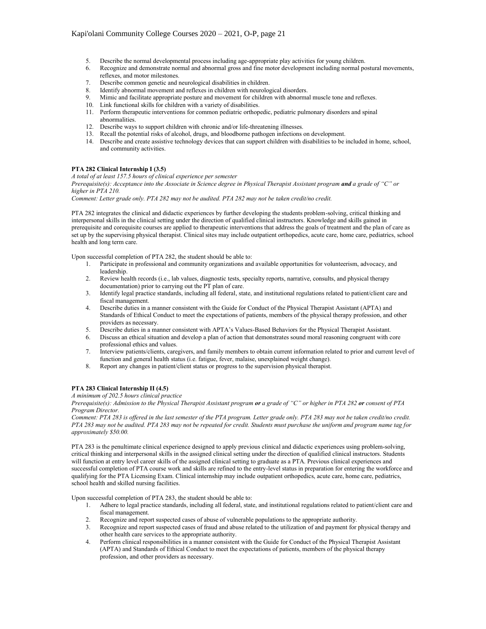- 5. Describe the normal developmental process including age-appropriate play activities for young children.
- 6. Recognize and demonstrate normal and abnormal gross and fine motor development including normal postural movements, reflexes, and motor milestones.
- 7. Describe common genetic and neurological disabilities in children.
- 8. Identify abnormal movement and reflexes in children with neurological disorders.
- 9. Mimic and facilitate appropriate posture and movement for children with abnormal muscle tone and reflexes.
- 10. Link functional skills for children with a variety of disabilities.
- 11. Perform therapeutic interventions for common pediatric orthopedic, pediatric pulmonary disorders and spinal abnormalities.
- 12. Describe ways to support children with chronic and/or life-threatening illnesses.
- 13. Recall the potential risks of alcohol, drugs, and bloodborne pathogen infections on development.
- 14. Describe and create assistive technology devices that can support children with disabilities to be included in home, school, and community activities.

#### **PTA 282 Clinical Internship I (3.5)**

*A total of at least 157.5 hours of clinical experience per semester*

*Prerequisite(s): Acceptance into the Associate in Science degree in Physical Therapist Assistant program and a grade of "C" or higher in PTA 210.*

*Comment: Letter grade only. PTA 282 may not be audited. PTA 282 may not be taken credit/no credit.*

PTA 282 integrates the clinical and didactic experiences by further developing the students problem-solving, critical thinking and interpersonal skills in the clinical setting under the direction of qualified clinical instructors. Knowledge and skills gained in prerequisite and corequisite courses are applied to therapeutic interventions that address the goals of treatment and the plan of care as set up by the supervising physical therapist. Clinical sites may include outpatient orthopedics, acute care, home care, pediatrics, school health and long term care.

Upon successful completion of PTA 282, the student should be able to:

- 1. Participate in professional and community organizations and available opportunities for volunteerism, advocacy, and leadership.
- 2. Review health records (i.e., lab values, diagnostic tests, specialty reports, narrative, consults, and physical therapy documentation) prior to carrying out the PT plan of care.
- 3. Identify legal practice standards, including all federal, state, and institutional regulations related to patient/client care and fiscal management.
- 4. Describe duties in a manner consistent with the Guide for Conduct of the Physical Therapist Assistant (APTA) and Standards of Ethical Conduct to meet the expectations of patients, members of the physical therapy profession, and other providers as necessary.
- 5. Describe duties in a manner consistent with APTA's Values-Based Behaviors for the Physical Therapist Assistant.
- 6. Discuss an ethical situation and develop a plan of action that demonstrates sound moral reasoning congruent with core professional ethics and values.
- 7. Interview patients/clients, caregivers, and family members to obtain current information related to prior and current level of function and general health status (i.e. fatigue, fever, malaise, unexplained weight change).
- 8. Report any changes in patient/client status or progress to the supervision physical therapist.

## **PTA 283 Clinical Internship II (4.5)**

#### *A minimum of 202.5 hours clinical practice*

*Prerequisite(s): Admission to the Physical Therapist Assistant program or a grade of "C" or higher in PTA 282 or consent of PTA Program Director.*

*Comment: PTA 283 is offered in the last semester of the PTA program. Letter grade only. PTA 283 may not be taken credit/no credit. PTA 283 may not be audited. PTA 283 may not be repeated for credit. Students must purchase the uniform and program name tag for approximately \$50.00.*

PTA 283 is the penultimate clinical experience designed to apply previous clinical and didactic experiences using problem-solving, critical thinking and interpersonal skills in the assigned clinical setting under the direction of qualified clinical instructors. Students will function at entry level career skills of the assigned clinical setting to graduate as a PTA. Previous clinical experiences and successful completion of PTA course work and skills are refined to the entry-level status in preparation for entering the workforce and qualifying for the PTA Licensing Exam. Clinical internship may include outpatient orthopedics, acute care, home care, pediatrics, school health and skilled nursing facilities.

Upon successful completion of PTA 283, the student should be able to:

- 1. Adhere to legal practice standards, including all federal, state, and institutional regulations related to patient/client care and fiscal management.
- 2. Recognize and report suspected cases of abuse of vulnerable populations to the appropriate authority.
- 3. Recognize and report suspected cases of fraud and abuse related to the utilization of and payment for physical therapy and other health care services to the appropriate authority.
- 4. Perform clinical responsibilities in a manner consistent with the Guide for Conduct of the Physical Therapist Assistant (APTA) and Standards of Ethical Conduct to meet the expectations of patients, members of the physical therapy profession, and other providers as necessary.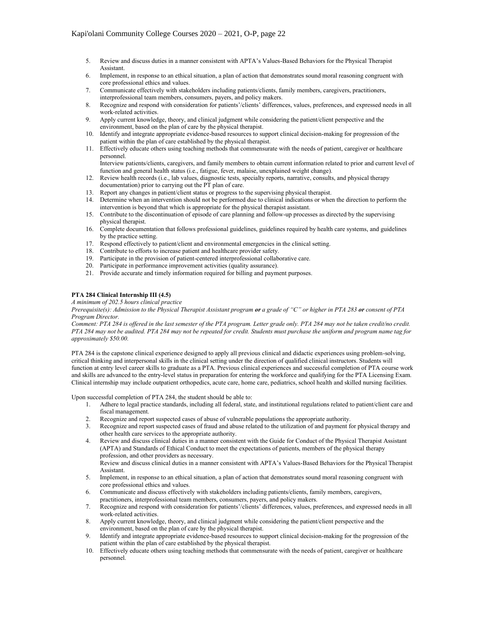- 5. Review and discuss duties in a manner consistent with APTA's Values-Based Behaviors for the Physical Therapist Assistant.
- 6. Implement, in response to an ethical situation, a plan of action that demonstrates sound moral reasoning congruent with core professional ethics and values.
- 7. Communicate effectively with stakeholders including patients/clients, family members, caregivers, practitioners, interprofessional team members, consumers, payers, and policy makers.
- 8. Recognize and respond with consideration for patients'/clients' differences, values, preferences, and expressed needs in all work-related activities.
- 9. Apply current knowledge, theory, and clinical judgment while considering the patient/client perspective and the environment, based on the plan of care by the physical therapist.
- 10. Identify and integrate appropriate evidence-based resources to support clinical decision-making for progression of the patient within the plan of care established by the physical therapist.
- 11. Effectively educate others using teaching methods that commensurate with the needs of patient, caregiver or healthcare personnel.

Interview patients/clients, caregivers, and family members to obtain current information related to prior and current level of function and general health status (i.e., fatigue, fever, malaise, unexplained weight change).

- 12. Review health records (i.e., lab values, diagnostic tests, specialty reports, narrative, consults, and physical therapy documentation) prior to carrying out the PT plan of care.
- 13. Report any changes in patient/client status or progress to the supervising physical therapist.
- 14. Determine when an intervention should not be performed due to clinical indications or when the direction to perform the intervention is beyond that which is appropriate for the physical therapist assistant.
- 15. Contribute to the discontinuation of episode of care planning and follow-up processes as directed by the supervising physical therapist.
- 16. Complete documentation that follows professional guidelines, guidelines required by health care systems, and guidelines by the practice setting.
- 17. Respond effectively to patient/client and environmental emergencies in the clinical setting.
- 18. Contribute to efforts to increase patient and healthcare provider safety.
- 19. Participate in the provision of patient-centered interprofessional collaborative care.
- 20. Participate in performance improvement activities (quality assurance).
- 21. Provide accurate and timely information required for billing and payment purposes.

## **PTA 284 Clinical Internship III (4.5)**

*A minimum of 202.5 hours clinical practice*

*Prerequisite(s): Admission to the Physical Therapist Assistant program or a grade of "C" or higher in PTA 283 or consent of PTA Program Director.*

*Comment: PTA 284 is offered in the last semester of the PTA program. Letter grade only. PTA 284 may not be taken credit/no credit. PTA 284 may not be audited. PTA 284 may not be repeated for credit. Students must purchase the uniform and program name tag for approximately \$50.00.*

PTA 284 is the capstone clinical experience designed to apply all previous clinical and didactic experiences using problem-solving, critical thinking and interpersonal skills in the clinical setting under the direction of qualified clinical instructors. Students will function at entry level career skills to graduate as a PTA. Previous clinical experiences and successful completion of PTA course work and skills are advanced to the entry-level status in preparation for entering the workforce and qualifying for the PTA Licensing Exam. Clinical internship may include outpatient orthopedics, acute care, home care, pediatrics, school health and skilled nursing facilities.

Upon successful completion of PTA 284, the student should be able to:

- 1. Adhere to legal practice standards, including all federal, state, and institutional regulations related to patient/client care and fiscal management.
- 2. Recognize and report suspected cases of abuse of vulnerable populations the appropriate authority.
- 3. Recognize and report suspected cases of fraud and abuse related to the utilization of and payment for physical therapy and other health care services to the appropriate authority.
- 4. Review and discuss clinical duties in a manner consistent with the Guide for Conduct of the Physical Therapist Assistant (APTA) and Standards of Ethical Conduct to meet the expectations of patients, members of the physical therapy profession, and other providers as necessary.

Review and discuss clinical duties in a manner consistent with APTA's Values-Based Behaviors for the Physical Therapist Assistant.

- 5. Implement, in response to an ethical situation, a plan of action that demonstrates sound moral reasoning congruent with core professional ethics and values.
- 6. Communicate and discuss effectively with stakeholders including patients/clients, family members, caregivers, practitioners, interprofessional team members, consumers, payers, and policy makers.
- 7. Recognize and respond with consideration for patients'/clients' differences, values, preferences, and expressed needs in all work-related activities.
- 8. Apply current knowledge, theory, and clinical judgment while considering the patient/client perspective and the environment, based on the plan of care by the physical therapist.
- 9. Identify and integrate appropriate evidence-based resources to support clinical decision-making for the progression of the patient within the plan of care established by the physical therapist.
- 10. Effectively educate others using teaching methods that commensurate with the needs of patient, caregiver or healthcare personnel.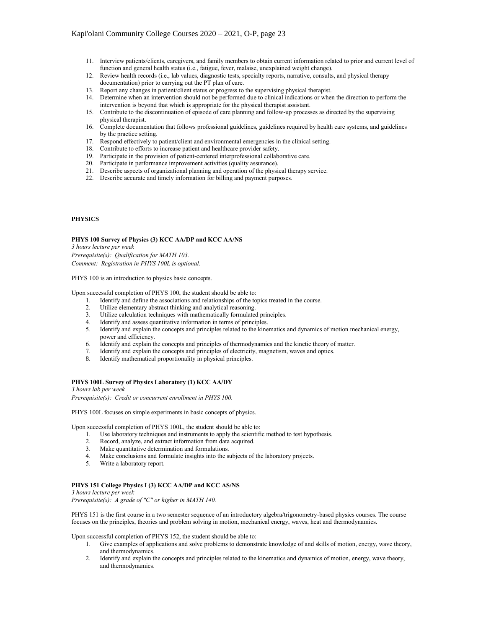- 11. Interview patients/clients, caregivers, and family members to obtain current information related to prior and current level of function and general health status (i.e., fatigue, fever, malaise, unexplained weight change).
- 12. Review health records (i.e., lab values, diagnostic tests, specialty reports, narrative, consults, and physical therapy documentation) prior to carrying out the PT plan of care.
- 13. Report any changes in patient/client status or progress to the supervising physical therapist.
- 14. Determine when an intervention should not be performed due to clinical indications or when the direction to perform the intervention is beyond that which is appropriate for the physical therapist assistant.
- 15. Contribute to the discontinuation of episode of care planning and follow-up processes as directed by the supervising physical therapist.
- 16. Complete documentation that follows professional guidelines, guidelines required by health care systems, and guidelines by the practice setting.
- 17. Respond effectively to patient/client and environmental emergencies in the clinical setting.
- 18. Contribute to efforts to increase patient and healthcare provider safety.
- 19. Participate in the provision of patient-centered interprofessional collaborative care.
- 20. Participate in performance improvement activities (quality assurance).
- 21. Describe aspects of organizational planning and operation of the physical therapy service.
- 22. Describe accurate and timely information for billing and payment purposes.

## **PHYSICS**

## **PHYS 100 Survey of Physics (3) KCC AA/DP and KCC AA/NS**

*3 hours lecture per week*

*Prerequisite(s): Qualification for MATH 103. Comment: Registration in PHYS 100L is optional.*

PHYS 100 is an introduction to physics basic concepts.

Upon successful completion of PHYS 100, the student should be able to:

- 1. Identify and define the associations and relationships of the topics treated in the course.
- 2. Utilize elementary abstract thinking and analytical reasoning.
- 3. Utilize calculation techniques with mathematically formulated principles.
- 4. Identify and assess quantitative information in terms of principles.
- 5. Identify and explain the concepts and principles related to the kinematics and dynamics of motion mechanical energy, power and efficiency.
- 6. Identify and explain the concepts and principles of thermodynamics and the kinetic theory of matter.<br>7. Identify and explain the concepts and principles of electricity, magnetism, waves and ontics
- Identify and explain the concepts and principles of electricity, magnetism, waves and optics.
- 8. Identify mathematical proportionality in physical principles.

### **PHYS 100L Survey of Physics Laboratory (1) KCC AA/DY**

*3 hours lab per week*

*Prerequisite(s): Credit or concurrent enrollment in PHYS 100.*

PHYS 100L focuses on simple experiments in basic concepts of physics.

Upon successful completion of PHYS 100L, the student should be able to:

- 1. Use laboratory techniques and instruments to apply the scientific method to test hypothesis.
- 2. Record, analyze, and extract information from data acquired.
- 3. Make quantitative determination and formulations.
- 4. Make conclusions and formulate insights into the subjects of the laboratory projects.
- 5. Write a laboratory report.

# **PHYS 151 College Physics I (3) KCC AA/DP and KCC AS/NS**

*3 hours lecture per week*

*Prerequisite(s): A grade of "C" or higher in MATH 140.*

PHYS 151 is the first course in a two semester sequence of an introductory algebra/trigonometry-based physics courses. The course focuses on the principles, theories and problem solving in motion, mechanical energy, waves, heat and thermodynamics.

Upon successful completion of PHYS 152, the student should be able to:

- 1. Give examples of applications and solve problems to demonstrate knowledge of and skills of motion, energy, wave theory, and thermodynamics.
- 2. Identify and explain the concepts and principles related to the kinematics and dynamics of motion, energy, wave theory, and thermodynamics.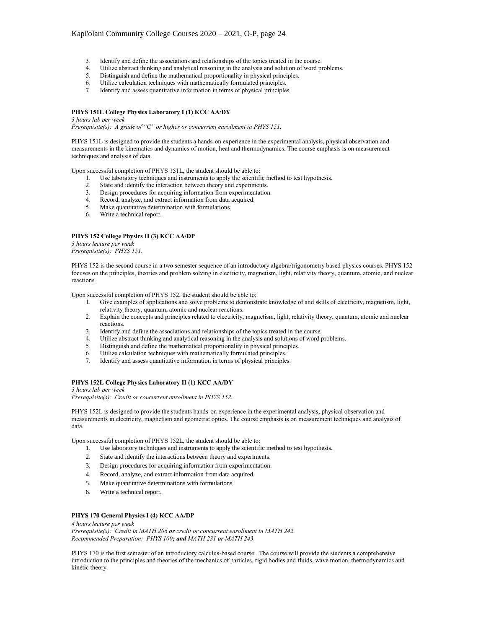- 3. Identify and define the associations and relationships of the topics treated in the course.<br>4. Utilize abstract thinking and analytical reasoning in the analysis and solution of word p
- Utilize abstract thinking and analytical reasoning in the analysis and solution of word problems.
- 5. Distinguish and define the mathematical proportionality in physical principles.
- 6. Utilize calculation techniques with mathematically formulated principles.
- 7. Identify and assess quantitative information in terms of physical principles.

# **PHYS 151L College Physics Laboratory I (1) KCC AA/DY**

*3 hours lab per week*

*Prerequisite(s): A grade of "C" or higher or concurrent enrollment in PHYS 151.*

PHYS 151L is designed to provide the students a hands-on experience in the experimental analysis, physical observation and measurements in the kinematics and dynamics of motion, heat and thermodynamics. The course emphasis is on measurement techniques and analysis of data.

Upon successful completion of PHYS 151L, the student should be able to:

- 1. Use laboratory techniques and instruments to apply the scientific method to test hypothesis.<br>2. State and identify the interaction between theory and experiments.
- State and identify the interaction between theory and experiments.
- 3. Design procedures for acquiring information from experimentation.
- 4. Record, analyze, and extract information from data acquired.
- 5. Make quantitative determination with formulations.
- 6. Write a technical report.

#### **PHYS 152 College Physics II (3) KCC AA/DP**

*3 hours lecture per week Prerequisite(s): PHYS 151.*

PHYS 152 is the second course in a two semester sequence of an introductory algebra/trigonometry based physics courses. PHYS 152 focuses on the principles, theories and problem solving in electricity, magnetism, light, relativity theory, quantum, atomic, and nuclear reactions.

Upon successful completion of PHYS 152, the student should be able to:

- 1. Give examples of applications and solve problems to demonstrate knowledge of and skills of electricity, magnetism, light, relativity theory, quantum, atomic and nuclear reactions.
- 2. Explain the concepts and principles related to electricity, magnetism, light, relativity theory, quantum, atomic and nuclear reactions.
- 3. Identify and define the associations and relationships of the topics treated in the course.
- 4. Utilize abstract thinking and analytical reasoning in the analysis and solutions of word problems.
- 5. Distinguish and define the mathematical proportionality in physical principles.
- 6. Utilize calculation techniques with mathematically formulated principles.
- 7. Identify and assess quantitative information in terms of physical principles.

#### **PHYS 152L College Physics Laboratory II (1) KCC AA/DY**

*3 hours lab per week*

*Prerequisite(s): Credit or concurrent enrollment in PHYS 152.*

PHYS 152L is designed to provide the students hands-on experience in the experimental analysis, physical observation and measurements in electricity, magnetism and geometric optics. The course emphasis is on measurement techniques and analysis of data.

Upon successful completion of PHYS 152L, the student should be able to:

- 1. Use laboratory techniques and instruments to apply the scientific method to test hypothesis.
- 2. State and identify the interactions between theory and experiments.
- 3. Design procedures for acquiring information from experimentation.
- 4. Record, analyze, and extract information from data acquired.
- 5. Make quantitative determinations with formulations.
- 6. Write a technical report.

## **PHYS 170 General Physics I (4) KCC AA/DP**

*4 hours lecture per week Prerequisite(s): Credit in MATH 206 or credit or concurrent enrollment in MATH 242. Recommended Preparation: PHYS 100; and MATH 231 or MATH 243.*

PHYS 170 is the first semester of an introductory calculus-based course. The course will provide the students a comprehensive introduction to the principles and theories of the mechanics of particles, rigid bodies and fluids, wave motion, thermodynamics and kinetic theory.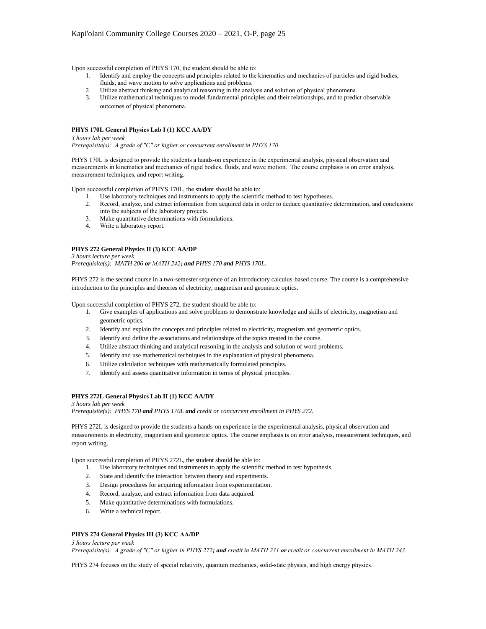Upon successful completion of PHYS 170, the student should be able to:

- 1. Identify and employ the concepts and principles related to the kinematics and mechanics of particles and rigid bodies, fluids, and wave motion to solve applications and problems.
- 2. Utilize abstract thinking and analytical reasoning in the analysis and solution of physical phenomena.
- 3. Utilize mathematical techniques to model fundamental principles and their relationships, and to predict observable outcomes of physical phenomena.

## **PHYS 170L General Physics Lab I (1) KCC AA/DY**

*3 hours lab per week Prerequisite(s): A grade of "C" or higher or concurrent enrollment in PHYS 170.*

PHYS 170L is designed to provide the students a hands-on experience in the experimental analysis, physical observation and measurements in kinematics and mechanics of rigid bodies, fluids, and wave motion. The course emphasis is on error analysis, measurement techniques, and report writing.

Upon successful completion of PHYS 170L, the student should be able to:

- 1. Use laboratory techniques and instruments to apply the scientific method to test hypotheses.<br>2. Record, analyze, and extract information from acquired data in order to deduce quantitative
- 2. Record, analyze, and extract information from acquired data in order to deduce quantitative determination, and conclusions
- into the subjects of the laboratory projects.
- 3. Make quantitative determinations with formulations.<br>4. Write a laboratory report. Write a laboratory report.

# **PHYS 272 General Physics II (3) KCC AA/DP**

*3 hours lecture per week Prerequisite(s): MATH 206 or MATH 242; and PHYS 170 and PHYS 170L.*

PHYS 272 is the second course in a two-semester sequence of an introductory calculus-based course. The course is a comprehensive introduction to the principles and theories of electricity, magnetism and geometric optics.

Upon successful completion of PHYS 272, the student should be able to:

- 1. Give examples of applications and solve problems to demonstrate knowledge and skills of electricity, magnetism and geometric optics.
- 2. Identify and explain the concepts and principles related to electricity, magnetism and geometric optics.
- 3. Identify and define the associations and relationships of the topics treated in the course.
- 4. Utilize abstract thinking and analytical reasoning in the analysis and solution of word problems.
- 5. Identify and use mathematical techniques in the explanation of physical phenomena.
- 6. Utilize calculation techniques with mathematically formulated principles.
- 7. Identify and assess quantitative information in terms of physical principles.

# **PHYS 272L General Physics Lab II (1) KCC AA/DY**

*3 hours lab per week Prerequisite(s): PHYS 170 and PHYS 170L and credit or concurrent enrollment in PHYS 272.*

PHYS 272L is designed to provide the students a hands-on experience in the experimental analysis, physical observation and measurements in electricity, magnetism and geometric optics. The course emphasis is on error analysis, measurement techniques, and report writing.

Upon successful completion of PHYS 272L, the student should be able to:

- 1. Use laboratory techniques and instruments to apply the scientific method to test hypothesis.
- 2. State and identify the interaction between theory and experiments.
- 3. Design procedures for acquiring information from experimentation.
- 4. Record, analyze, and extract information from data acquired.
- 5. Make quantitative determinations with formulations.
- 6. Write a technical report.

## **PHYS 274 General Physics III (3) KCC AA/DP**

*3 hours lecture per week*

*Prerequisite(s): A grade of "C" or higher in PHYS 272; and credit in MATH 231 or credit or concurrent enrollment in MATH 243.*

PHYS 274 focuses on the study of special relativity, quantum mechanics, solid-state physics, and high energy physics.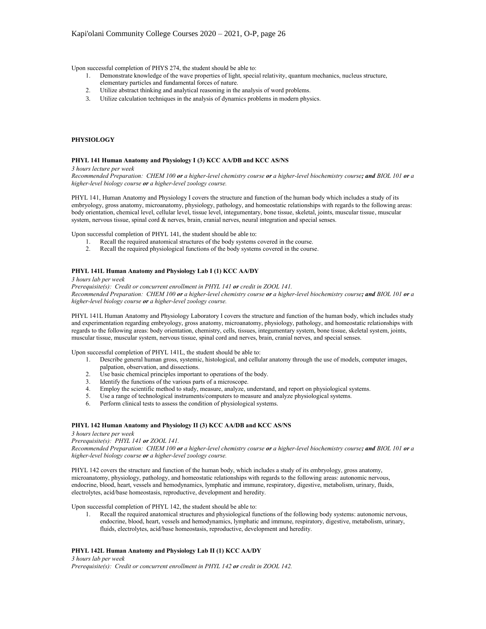Upon successful completion of PHYS 274, the student should be able to:

- 1. Demonstrate knowledge of the wave properties of light, special relativity, quantum mechanics, nucleus structure,
	- elementary particles and fundamental forces of nature.
- 2. Utilize abstract thinking and analytical reasoning in the analysis of word problems.
- 3. Utilize calculation techniques in the analysis of dynamics problems in modern physics.

## **PHYSIOLOGY**

#### **PHYL 141 Human Anatomy and Physiology I (3) KCC AA/DB and KCC AS/NS**

*3 hours lecture per week*

*Recommended Preparation: CHEM 100 or a higher-level chemistry course or a higher-level biochemistry course; and BIOL 101 or a higher-level biology course or a higher-level zoology course.*

PHYL 141, Human Anatomy and Physiology I covers the structure and function of the human body which includes a study of its embryology, gross anatomy, microanatomy, physiology, pathology, and homeostatic relationships with regards to the following areas: body orientation, chemical level, cellular level, tissue level, integumentary, bone tissue, skeletal, joints, muscular tissue, muscular system, nervous tissue, spinal cord & nerves, brain, cranial nerves, neural integration and special senses.

Upon successful completion of PHYL 141, the student should be able to:

- 1. Recall the required anatomical structures of the body systems covered in the course.
- 2. Recall the required physiological functions of the body systems covered in the course.

### **PHYL 141L Human Anatomy and Physiology Lab I (1) KCC AA/DY**

*3 hours lab per week*

*Prerequisite(s): Credit or concurrent enrollment in PHYL 141 or credit in ZOOL 141. Recommended Preparation: CHEM 100 or a higher-level chemistry course or a higher-level biochemistry course; and BIOL 101 or a higher-level biology course or a higher-level zoology course.*

PHYL 141L Human Anatomy and Physiology Laboratory I covers the structure and function of the human body, which includes study and experimentation regarding embryology, gross anatomy, microanatomy, physiology, pathology, and homeostatic relationships with regards to the following areas: body orientation, chemistry, cells, tissues, integumentary system, bone tissue, skeletal system, joints, muscular tissue, muscular system, nervous tissue, spinal cord and nerves, brain, cranial nerves, and special senses.

Upon successful completion of PHYL 141L, the student should be able to:

- 1. Describe general human gross, systemic, histological, and cellular anatomy through the use of models, computer images, palpation, observation, and dissections.
- 2. Use basic chemical principles important to operations of the body.<br>3. Identify the functions of the various parts of a microscope.
- Identify the functions of the various parts of a microscope.
- 4. Employ the scientific method to study, measure, analyze, understand, and report on physiological systems.
- 5. Use a range of technological instruments/computers to measure and analyze physiological systems.
- 6. Perform clinical tests to assess the condition of physiological systems.

#### **PHYL 142 Human Anatomy and Physiology II (3) KCC AA/DB and KCC AS/NS**

*3 hours lecture per week*

# *Prerequisite(s): PHYL 141 or ZOOL 141.*

*Recommended Preparation: CHEM 100 or a higher-level chemistry course or a higher-level biochemistry course; and BIOL 101 or a higher-level biology course or a higher-level zoology course.*

PHYL 142 covers the structure and function of the human body, which includes a study of its embryology, gross anatomy, microanatomy, physiology, pathology, and homeostatic relationships with regards to the following areas: autonomic nervous, endocrine, blood, heart, vessels and hemodynamics, lymphatic and immune, respiratory, digestive, metabolism, urinary, fluids, electrolytes, acid/base homeostasis, reproductive, development and heredity.

Upon successful completion of PHYL 142, the student should be able to:

1. Recall the required anatomical structures and physiological functions of the following body systems: autonomic nervous, endocrine, blood, heart, vessels and hemodynamics, lymphatic and immune, respiratory, digestive, metabolism, urinary, fluids, electrolytes, acid/base homeostasis, reproductive, development and heredity.

### **PHYL 142L Human Anatomy and Physiology Lab II (1) KCC AA/DY**

*3 hours lab per week Prerequisite(s): Credit or concurrent enrollment in PHYL 142 or credit in ZOOL 142.*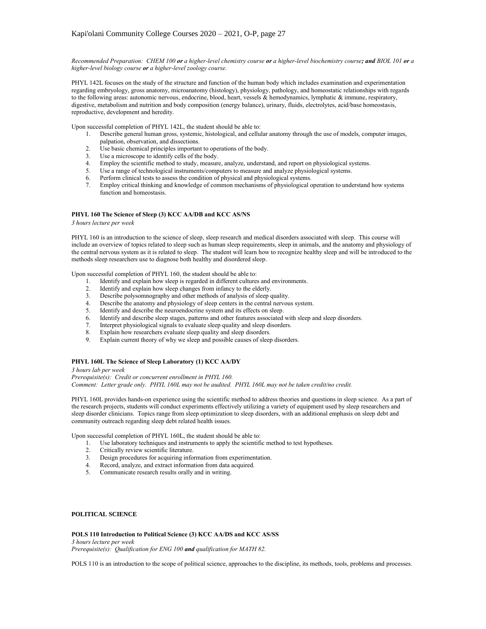*Recommended Preparation: CHEM 100 or a higher-level chemistry course or a higher-level biochemistry course; and BIOL 101 or a higher-level biology course or a higher-level zoology course.*

PHYL 142L focuses on the study of the structure and function of the human body which includes examination and experimentation regarding embryology, gross anatomy, microanatomy (histology), physiology, pathology, and homeostatic relationships with regards to the following areas: autonomic nervous, endocrine, blood, heart, vessels & hemodynamics, lymphatic & immune, respiratory, digestive, metabolism and nutrition and body composition (energy balance), urinary, fluids, electrolytes, acid/base homeostasis, reproductive, development and heredity.

Upon successful completion of PHYL 142L, the student should be able to:

- 1. Describe general human gross, systemic, histological, and cellular anatomy through the use of models, computer images, palpation, observation, and dissections.
- 2. Use basic chemical principles important to operations of the body.
- 3. Use a microscope to identify cells of the body.
- 4. Employ the scientific method to study, measure, analyze, understand, and report on physiological systems.
- 5. Use a range of technological instruments/computers to measure and analyze physiological systems.
- 6. Perform clinical tests to assess the condition of physical and physiological systems.
- 7. Employ critical thinking and knowledge of common mechanisms of physiological operation to understand how systems function and homeostasis.

## **PHYL 160 The Science of Sleep (3) KCC AA/DB and KCC AS/NS**

*3 hours lecture per week*

PHYL 160 is an introduction to the science of sleep, sleep research and medical disorders associated with sleep. This course will include an overview of topics related to sleep such as human sleep requirements, sleep in animals, and the anatomy and physiology of the central nervous system as it is related to sleep. The student will learn how to recognize healthy sleep and will be introduced to the methods sleep researchers use to diagnose both healthy and disordered sleep.

Upon successful completion of PHYL 160, the student should be able to:

- 1. Identify and explain how sleep is regarded in different cultures and environments.
- 2. Identify and explain how sleep changes from infancy to the elderly.<br>
Pescribe polysommography and other methods of analysis of sleep
- Describe polysomnography and other methods of analysis of sleep quality.
- 4. Describe the anatomy and physiology of sleep centers in the central nervous system.
- 
- 5. Identify and describe the neuroendocrine system and its effects on sleep.<br>6. Identify and describe sleep stages, patterns and other features associated Identify and describe sleep stages, patterns and other features associated with sleep and sleep disorders.
- 7. Interpret physiological signals to evaluate sleep quality and sleep disorders.
- 8. Explain how researchers evaluate sleep quality and sleep disorders.
- 9. Explain current theory of why we sleep and possible causes of sleep disorders.

## **PHYL 160L The Science of Sleep Laboratory (1) KCC AA/DY**

*3 hours lab per week Prerequisite(s): Credit or concurrent enrollment in PHYL 160. Comment: Letter grade only. PHYL 160L may not be audited. PHYL 160L may not be taken credit/no credit.*

PHYL 160L provides hands-on experience using the scientific method to address theories and questions in sleep science. As a part of the research projects, students will conduct experiments effectively utilizing a variety of equipment used by sleep researchers and sleep disorder clinicians. Topics range from sleep optimization to sleep disorders, with an additional emphasis on sleep debt and community outreach regarding sleep debt related health issues.

Upon successful completion of PHYL 160L, the student should be able to:

- 1. Use laboratory techniques and instruments to apply the scientific method to test hypotheses.
- 2. Critically review scientific literature.
- 3. Design procedures for acquiring information from experimentation.
- 4. Record, analyze, and extract information from data acquired.
- 5. Communicate research results orally and in writing.

### **POLITICAL SCIENCE**

**POLS 110 Introduction to Political Science (3) KCC AA/DS and KCC AS/SS** *3 hours lecture per week*

*Prerequisite(s): Qualification for ENG 100 and qualification for MATH 82.*

POLS 110 is an introduction to the scope of political science, approaches to the discipline, its methods, tools, problems and processes.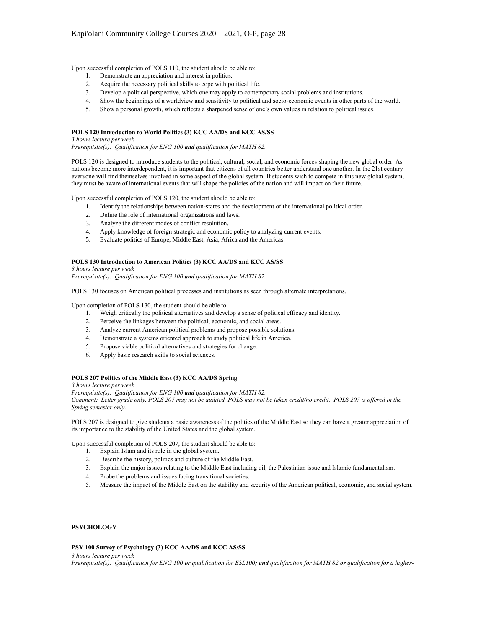Upon successful completion of POLS 110, the student should be able to:

- 1. Demonstrate an appreciation and interest in politics.
- 2. Acquire the necessary political skills to cope with political life.
- 3. Develop a political perspective, which one may apply to contemporary social problems and institutions.
- 4. Show the beginnings of a worldview and sensitivity to political and socio-economic events in other parts of the world.
- 5. Show a personal growth, which reflects a sharpened sense of one's own values in relation to political issues.

## **POLS 120 Introduction to World Politics (3) KCC AA/DS and KCC AS/SS**

*3 hours lecture per week*

*Prerequisite(s): Qualification for ENG 100 and qualification for MATH 82.*

POLS 120 is designed to introduce students to the political, cultural, social, and economic forces shaping the new global order. As nations become more interdependent, it is important that citizens of all countries better understand one another. In the 21st century everyone will find themselves involved in some aspect of the global system. If students wish to compete in this new global system, they must be aware of international events that will shape the policies of the nation and will impact on their future.

Upon successful completion of POLS 120, the student should be able to:

- 1. Identify the relationships between nation-states and the development of the international political order.
- 2. Define the role of international organizations and laws.
- 3. Analyze the different modes of conflict resolution.
- 4. Apply knowledge of foreign strategic and economic policy to analyzing current events.
- 5. Evaluate politics of Europe, Middle East, Asia, Africa and the Americas.

#### **POLS 130 Introduction to American Politics (3) KCC AA/DS and KCC AS/SS**

*3 hours lecture per week*

*Prerequisite(s): Qualification for ENG 100 and qualification for MATH 82.*

POLS 130 focuses on American political processes and institutions as seen through alternate interpretations.

Upon completion of POLS 130, the student should be able to:

- 1. Weigh critically the political alternatives and develop a sense of political efficacy and identity.
- 2. Perceive the linkages between the political, economic, and social areas.
- 3. Analyze current American political problems and propose possible solutions.
- 4. Demonstrate a systems oriented approach to study political life in America.
- 5. Propose viable political alternatives and strategies for change.
- 6. Apply basic research skills to social sciences.

#### **POLS 207 Politics of the Middle East (3) KCC AA/DS Spring**

*3 hours lecture per week*

*Prerequisite(s): Qualification for ENG 100 and qualification for MATH 82. Comment: Letter grade only. POLS 207 may not be audited. POLS may not be taken credit/no credit. POLS 207 is offered in the*

*Spring semester only.*

POLS 207 is designed to give students a basic awareness of the politics of the Middle East so they can have a greater appreciation of its importance to the stability of the United States and the global system.

Upon successful completion of POLS 207, the student should be able to:

- 1. Explain Islam and its role in the global system.
- 2. Describe the history, politics and culture of the Middle East.
- 3. Explain the major issues relating to the Middle East including oil, the Palestinian issue and Islamic fundamentalism.
- 4. Probe the problems and issues facing transitional societies.
- 5. Measure the impact of the Middle East on the stability and security of the American political, economic, and social system.

# **PSYCHOLOGY**

### **PSY 100 Survey of Psychology (3) KCC AA/DS and KCC AS/SS**

*3 hours lecture per week*

*Prerequisite(s): Qualification for ENG 100 or qualification for ESL100; and qualification for MATH 82 or qualification for a higher-*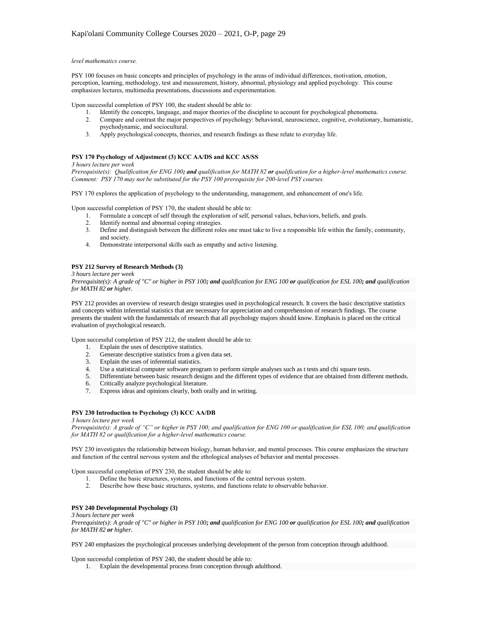### *level mathematics course.*

PSY 100 focuses on basic concepts and principles of psychology in the areas of individual differences, motivation, emotion, perception, learning, methodology, test and measurement, history, abnormal, physiology and applied psychology. This course emphasizes lectures, multimedia presentations, discussions and experimentation.

Upon successful completion of PSY 100, the student should be able to:

- 1. Identify the concepts, language, and major theories of the discipline to account for psychological phenomena.
- 2. Compare and contrast the major perspectives of psychology: behavioral, neuroscience, cognitive, evolutionary, humanistic, psychodynamic, and sociocultural.
- 3. Apply psychological concepts, theories, and research findings as these relate to everyday life.

#### **PSY 170 Psychology of Adjustment (3) KCC AA/DS and KCC AS/SS**

*3 hours lecture per week*

*Prerequisite(s): Qualification for ENG 100; and qualification for MATH 82 or qualification for a higher-level mathematics course. Comment: PSY 170 may not be substituted for the PSY 100 prerequisite for 200-level PSY courses.*

PSY 170 explores the application of psychology to the understanding, management, and enhancement of one's life.

Upon successful completion of PSY 170, the student should be able to:

- 1. Formulate a concept of self through the exploration of self, personal values, behaviors, beliefs, and goals.
- 
- 2. Identify normal and abnormal coping strategies.<br>3. Define and distinguish between the different role 3. Define and distinguish between the different roles one must take to live a responsible life within the family, community, and society.
- 4. Demonstrate interpersonal skills such as empathy and active listening.

## **PSY 212 Survey of Research Methods (3)**

*3 hours lecture per week*

*Prerequisite(s): A grade of "C" or higher in PSY 100; and qualification for ENG 100 or qualification for ESL 100; and qualification for MATH 82 or higher.*

PSY 212 provides an overview of research design strategies used in psychological research. It covers the basic descriptive statistics and concepts within inferential statistics that are necessary for appreciation and comprehension of research findings. The course presents the student with the fundamentals of research that all psychology majors should know. Emphasis is placed on the critical evaluation of psychological research.

Upon successful completion of PSY 212, the student should be able to:

- 1. Explain the uses of descriptive statistics.
- 2. Generate descriptive statistics from a given data set.
- 3. Explain the uses of inferential statistics.
- 4. Use a statistical computer software program to perform simple analyses such as t tests and chi square tests.
- 5. Differentiate between basic research designs and the different types of evidence that are obtained from different methods.
- 6. Critically analyze psychological literature.
- 7. Express ideas and opinions clearly, both orally and in writing.

## **PSY 230 Introduction to Psychology (3) KCC AA/DB**

*3 hours lecture per week*

*Prerequisite(s): A grade of "C" or higher in PSY 100; and qualification for ENG 100 or qualification for ESL 100; and qualification for MATH 82 or qualification for a higher-level mathematics course.*

PSY 230 investigates the relationship between biology, human behavior, and mental processes. This course emphasizes the structure and function of the central nervous system and the ethological analyses of behavior and mental processes.

Upon successful completion of PSY 230, the student should be able to:

- 1. Define the basic structures, systems, and functions of the central nervous system.<br>2. Describe how these basic structures, systems, and functions relate to observable b
- 2. Describe how these basic structures, systems, and functions relate to observable behavior.

## **PSY 240 Developmental Psychology (3)**

#### *3 hours lecture per week*

*Prerequisite(s): A grade of "C" or higher in PSY 100; and qualification for ENG 100 or qualification for ESL 100; and qualification for MATH 82 or higher.*

PSY 240 emphasizes the psychological processes underlying development of the person from conception through adulthood.

Upon successful completion of PSY 240, the student should be able to:

1. Explain the developmental process from conception through adulthood.